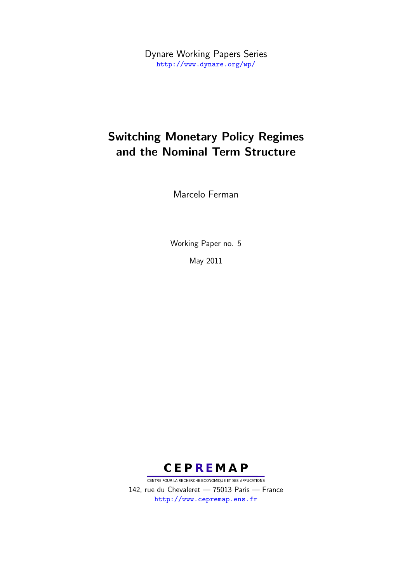Dynare Working Papers Series <http://www.dynare.org/wp/>

## Switching Monetary Policy Regimes and the Nominal Term Structure

Marcelo Ferman

Working Paper no. 5

May 2011



CENTRE POUR LA RECHERCHE ECONOMIQUE ET SES APPLICATIONS 142, rue du Chevaleret — 75013 Paris — France <http://www.cepremap.ens.fr>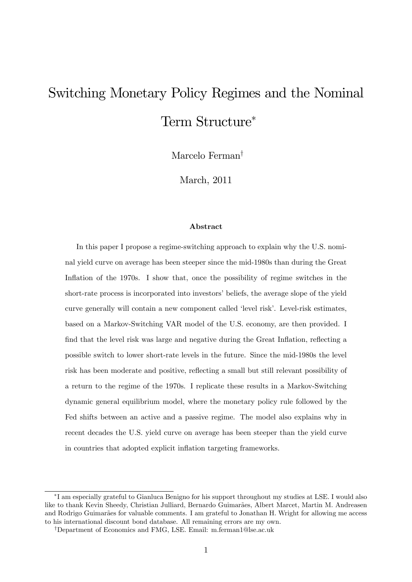# Switching Monetary Policy Regimes and the Nominal Term Structure

Marcelo Ferman<sup>†</sup>

March, 2011

#### Abstract

In this paper I propose a regime-switching approach to explain why the U.S. nominal yield curve on average has been steeper since the mid-1980s than during the Great Inflation of the 1970s. I show that, once the possibility of regime switches in the short-rate process is incorporated into investors' beliefs, the average slope of the yield curve generally will contain a new component called 'level risk'. Level-risk estimates, based on a Markov-Switching VAR model of the U.S. economy, are then provided. I find that the level risk was large and negative during the Great Inflation, reflecting a possible switch to lower short-rate levels in the future. Since the mid-1980s the level risk has been moderate and positive, reflecting a small but still relevant possibility of a return to the regime of the 1970s. I replicate these results in a Markov-Switching dynamic general equilibrium model, where the monetary policy rule followed by the Fed shifts between an active and a passive regime. The model also explains why in recent decades the U.S. yield curve on average has been steeper than the yield curve in countries that adopted explicit inflation targeting frameworks.

I am especially grateful to Gianluca Benigno for his support throughout my studies at LSE. I would also like to thank Kevin Sheedy, Christian Julliard, Bernardo Guimarães, Albert Marcet, Martin M. Andreasen and Rodrigo Guimarães for valuable comments. I am grateful to Jonathan H. Wright for allowing me access to his international discount bond database. All remaining errors are my own.

<sup>&</sup>lt;sup>†</sup>Department of Economics and FMG, LSE. Email: m.ferman1@lse.ac.uk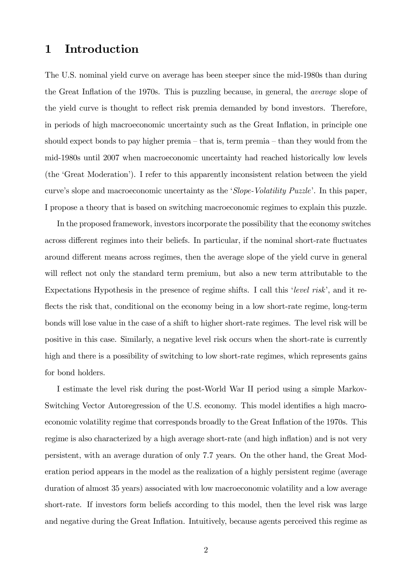### 1 Introduction

The U.S. nominal yield curve on average has been steeper since the mid-1980s than during the Great Inflation of the 1970s. This is puzzling because, in general, the *average* slope of the yield curve is thought to reflect risk premia demanded by bond investors. Therefore, in periods of high macroeconomic uncertainty such as the Great Inflation, in principle one should expect bonds to pay higher premia  $-$  that is, term premia  $-$  than they would from the mid-1980s until 2007 when macroeconomic uncertainty had reached historically low levels (the ëGreat Moderationí). I refer to this apparently inconsistent relation between the yield curve's slope and macroeconomic uncertainty as the 'Slope-Volatility Puzzle'. In this paper, I propose a theory that is based on switching macroeconomic regimes to explain this puzzle.

In the proposed framework, investors incorporate the possibility that the economy switches across different regimes into their beliefs. In particular, if the nominal short-rate fluctuates around different means across regimes, then the average slope of the yield curve in general will reflect not only the standard term premium, but also a new term attributable to the Expectations Hypothesis in the presence of regime shifts. I call this 'level risk', and it reflects the risk that, conditional on the economy being in a low short-rate regime, long-term bonds will lose value in the case of a shift to higher short-rate regimes. The level risk will be positive in this case. Similarly, a negative level risk occurs when the short-rate is currently high and there is a possibility of switching to low short-rate regimes, which represents gains for bond holders.

I estimate the level risk during the post-World War II period using a simple Markov-Switching Vector Autoregression of the U.S. economy. This model identifies a high macroeconomic volatility regime that corresponds broadly to the Great Inflation of the 1970s. This regime is also characterized by a high average short-rate (and high inflation) and is not very persistent, with an average duration of only 7.7 years. On the other hand, the Great Moderation period appears in the model as the realization of a highly persistent regime (average duration of almost 35 years) associated with low macroeconomic volatility and a low average short-rate. If investors form beliefs according to this model, then the level risk was large and negative during the Great Inflation. Intuitively, because agents perceived this regime as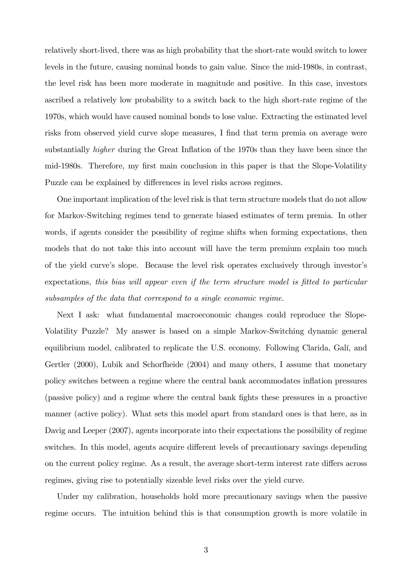relatively short-lived, there was as high probability that the short-rate would switch to lower levels in the future, causing nominal bonds to gain value. Since the mid-1980s, in contrast, the level risk has been more moderate in magnitude and positive. In this case, investors ascribed a relatively low probability to a switch back to the high short-rate regime of the 1970s, which would have caused nominal bonds to lose value. Extracting the estimated level risks from observed yield curve slope measures, I find that term premia on average were substantially *higher* during the Great Inflation of the 1970s than they have been since the mid-1980s. Therefore, my first main conclusion in this paper is that the Slope-Volatility Puzzle can be explained by differences in level risks across regimes.

One important implication of the level risk is that term structure models that do not allow for Markov-Switching regimes tend to generate biased estimates of term premia. In other words, if agents consider the possibility of regime shifts when forming expectations, then models that do not take this into account will have the term premium explain too much of the yield curve's slope. Because the level risk operates exclusively through investor's expectations, this bias will appear even if the term structure model is fitted to particular subsamples of the data that correspond to a single economic regime.

Next I ask: what fundamental macroeconomic changes could reproduce the Slope-Volatility Puzzle? My answer is based on a simple Markov-Switching dynamic general equilibrium model, calibrated to replicate the U.S. economy. Following Clarida, Galí, and Gertler (2000), Lubik and Schorfheide (2004) and many others, I assume that monetary policy switches between a regime where the central bank accommodates inflation pressures (passive policy) and a regime where the central bank Öghts these pressures in a proactive manner (active policy). What sets this model apart from standard ones is that here, as in Davig and Leeper (2007), agents incorporate into their expectations the possibility of regime switches. In this model, agents acquire different levels of precautionary savings depending on the current policy regime. As a result, the average short-term interest rate differs across regimes, giving rise to potentially sizeable level risks over the yield curve.

Under my calibration, households hold more precautionary savings when the passive regime occurs. The intuition behind this is that consumption growth is more volatile in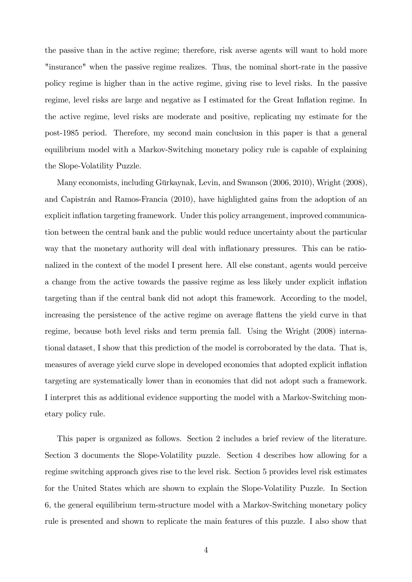the passive than in the active regime; therefore, risk averse agents will want to hold more "insurance" when the passive regime realizes. Thus, the nominal short-rate in the passive policy regime is higher than in the active regime, giving rise to level risks. In the passive regime, level risks are large and negative as I estimated for the Great Inflation regime. In the active regime, level risks are moderate and positive, replicating my estimate for the post-1985 period. Therefore, my second main conclusion in this paper is that a general equilibrium model with a Markov-Switching monetary policy rule is capable of explaining the Slope-Volatility Puzzle.

Many economists, including Gürkaynak, Levin, and Swanson (2006, 2010), Wright (2008), and Capistrán and Ramos-Francia (2010), have highlighted gains from the adoption of an explicit inflation targeting framework. Under this policy arrangement, improved communication between the central bank and the public would reduce uncertainty about the particular way that the monetary authority will deal with inflationary pressures. This can be rationalized in the context of the model I present here. All else constant, agents would perceive a change from the active towards the passive regime as less likely under explicit inflation targeting than if the central bank did not adopt this framework. According to the model, increasing the persistence of the active regime on average flattens the yield curve in that regime, because both level risks and term premia fall. Using the Wright (2008) international dataset, I show that this prediction of the model is corroborated by the data. That is, measures of average yield curve slope in developed economies that adopted explicit ináation targeting are systematically lower than in economies that did not adopt such a framework. I interpret this as additional evidence supporting the model with a Markov-Switching monetary policy rule.

This paper is organized as follows. Section 2 includes a brief review of the literature. Section 3 documents the Slope-Volatility puzzle. Section 4 describes how allowing for a regime switching approach gives rise to the level risk. Section 5 provides level risk estimates for the United States which are shown to explain the Slope-Volatility Puzzle. In Section 6, the general equilibrium term-structure model with a Markov-Switching monetary policy rule is presented and shown to replicate the main features of this puzzle. I also show that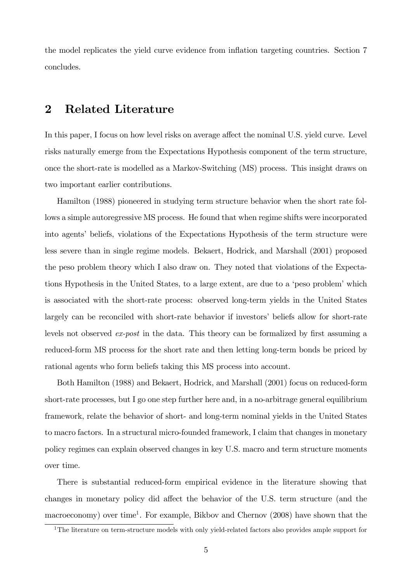the model replicates the yield curve evidence from ináation targeting countries. Section 7 concludes.

### 2 Related Literature

In this paper, I focus on how level risks on average affect the nominal U.S. yield curve. Level risks naturally emerge from the Expectations Hypothesis component of the term structure, once the short-rate is modelled as a Markov-Switching (MS) process. This insight draws on two important earlier contributions.

Hamilton (1988) pioneered in studying term structure behavior when the short rate follows a simple autoregressive MS process. He found that when regime shifts were incorporated into agents' beliefs, violations of the Expectations Hypothesis of the term structure were less severe than in single regime models. Bekaert, Hodrick, and Marshall (2001) proposed the peso problem theory which I also draw on. They noted that violations of the Expectations Hypothesis in the United States, to a large extent, are due to a 'peso problem' which is associated with the short-rate process: observed long-term yields in the United States largely can be reconciled with short-rate behavior if investors' beliefs allow for short-rate levels not observed  $ex\text{-}post$  in the data. This theory can be formalized by first assuming a reduced-form MS process for the short rate and then letting long-term bonds be priced by rational agents who form beliefs taking this MS process into account.

Both Hamilton (1988) and Bekaert, Hodrick, and Marshall (2001) focus on reduced-form short-rate processes, but I go one step further here and, in a no-arbitrage general equilibrium framework, relate the behavior of short- and long-term nominal yields in the United States to macro factors. In a structural micro-founded framework, I claim that changes in monetary policy regimes can explain observed changes in key U.S. macro and term structure moments over time.

There is substantial reduced-form empirical evidence in the literature showing that changes in monetary policy did affect the behavior of the U.S. term structure (and the macroeconomy) over time<sup>1</sup>. For example, Bikbov and Chernov (2008) have shown that the

<sup>&</sup>lt;sup>1</sup>The literature on term-structure models with only yield-related factors also provides ample support for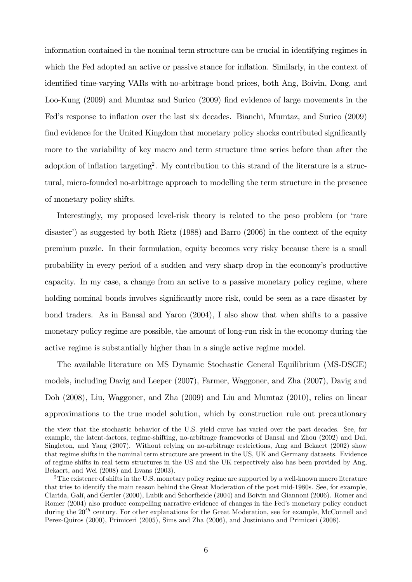information contained in the nominal term structure can be crucial in identifying regimes in which the Fed adopted an active or passive stance for inflation. Similarly, in the context of identified time-varying VARs with no-arbitrage bond prices, both Ang, Boivin, Dong, and Loo-Kung (2009) and Mumtaz and Surico (2009) Önd evidence of large movements in the Fed's response to inflation over the last six decades. Bianchi, Mumtaz, and Surico (2009) find evidence for the United Kingdom that monetary policy shocks contributed significantly more to the variability of key macro and term structure time series before than after the adoption of inflation targeting<sup>2</sup>. My contribution to this strand of the literature is a structural, micro-founded no-arbitrage approach to modelling the term structure in the presence of monetary policy shifts.

Interestingly, my proposed level-risk theory is related to the peso problem (or 'rare disaster') as suggested by both Rietz  $(1988)$  and Barro  $(2006)$  in the context of the equity premium puzzle. In their formulation, equity becomes very risky because there is a small probability in every period of a sudden and very sharp drop in the economy's productive capacity. In my case, a change from an active to a passive monetary policy regime, where holding nominal bonds involves significantly more risk, could be seen as a rare disaster by bond traders. As in Bansal and Yaron (2004), I also show that when shifts to a passive monetary policy regime are possible, the amount of long-run risk in the economy during the active regime is substantially higher than in a single active regime model.

The available literature on MS Dynamic Stochastic General Equilibrium (MS-DSGE) models, including Davig and Leeper (2007), Farmer, Waggoner, and Zha (2007), Davig and Doh (2008), Liu, Waggoner, and Zha (2009) and Liu and Mumtaz (2010), relies on linear approximations to the true model solution, which by construction rule out precautionary

the view that the stochastic behavior of the U.S. yield curve has varied over the past decades. See, for example, the latent-factors, regime-shifting, no-arbitrage frameworks of Bansal and Zhou (2002) and Dai, Singleton, and Yang (2007). Without relying on no-arbitrage restrictions, Ang and Bekaert (2002) show that regime shifts in the nominal term structure are present in the US, UK and Germany datasets. Evidence of regime shifts in real term structures in the US and the UK respectively also has been provided by Ang, Bekaert, and Wei (2008) and Evans (2003).

<sup>&</sup>lt;sup>2</sup>The existence of shifts in the U.S. monetary policy regime are supported by a well-known macro literature that tries to identify the main reason behind the Great Moderation of the post mid-1980s. See, for example, Clarida, Galí, and Gertler (2000), Lubik and Schorfheide (2004) and Boivin and Giannoni (2006). Romer and Romer (2004) also produce compelling narrative evidence of changes in the Fed's monetary policy conduct during the  $20^{th}$  century. For other explanations for the Great Moderation, see for example, McConnell and Perez-Quiros (2000), Primiceri (2005), Sims and Zha (2006), and Justiniano and Primiceri (2008).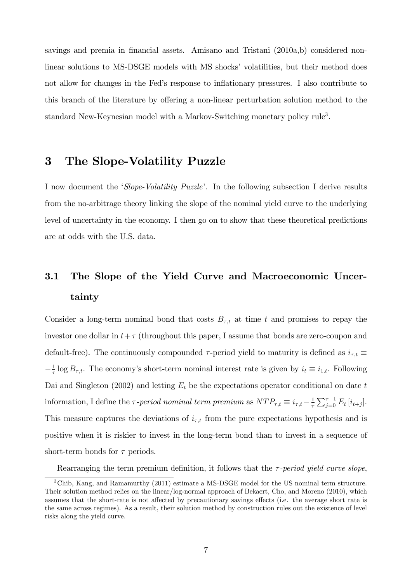savings and premia in financial assets. Amisano and Tristani (2010a,b) considered nonlinear solutions to MS-DSGE models with MS shocks' volatilities, but their method does not allow for changes in the Fed's response to inflationary pressures. I also contribute to this branch of the literature by offering a non-linear perturbation solution method to the standard New-Keynesian model with a Markov-Switching monetary policy rule<sup>3</sup>.

## 3 The Slope-Volatility Puzzle

I now document the *Slope-Volatility Puzzle*<sup> $\ell$ </sup>. In the following subsection I derive results from the no-arbitrage theory linking the slope of the nominal yield curve to the underlying level of uncertainty in the economy. I then go on to show that these theoretical predictions are at odds with the U.S. data.

## 3.1 The Slope of the Yield Curve and Macroeconomic Uncertainty

Consider a long-term nominal bond that costs  $B_{\tau,t}$  at time t and promises to repay the investor one dollar in  $t+\tau$  (throughout this paper, I assume that bonds are zero-coupon and default-free). The continuously compounded  $\tau$ -period yield to maturity is defined as  $i_{\tau,t}$  $-\frac{1}{\tau}$  $\frac{1}{\tau}$  log  $B_{\tau,t}$ . The economy's short-term nominal interest rate is given by  $i_t \equiv i_{1,t}$ . Following Dai and Singleton (2002) and letting  $E_t$  be the expectations operator conditional on date t information, I define the  $\tau$ -period nominal term premium as  $NTP_{\tau,t} \equiv i_{\tau,t} - \frac{1}{\tau}$  $\frac{1}{\tau} \sum_{j=0}^{\tau-1} E_t [i_{t+j}].$ This measure captures the deviations of  $i_{\tau,t}$  from the pure expectations hypothesis and is positive when it is riskier to invest in the long-term bond than to invest in a sequence of short-term bonds for  $\tau$  periods.

Rearranging the term premium definition, it follows that the  $\tau$ -period yield curve slope,

<sup>&</sup>lt;sup>3</sup>Chib, Kang, and Ramamurthy (2011) estimate a MS-DSGE model for the US nominal term structure. Their solution method relies on the linear/log-normal approach of Bekaert, Cho, and Moreno (2010), which assumes that the short-rate is not affected by precautionary savings effects (i.e. the average short rate is the same across regimes). As a result, their solution method by construction rules out the existence of level risks along the yield curve.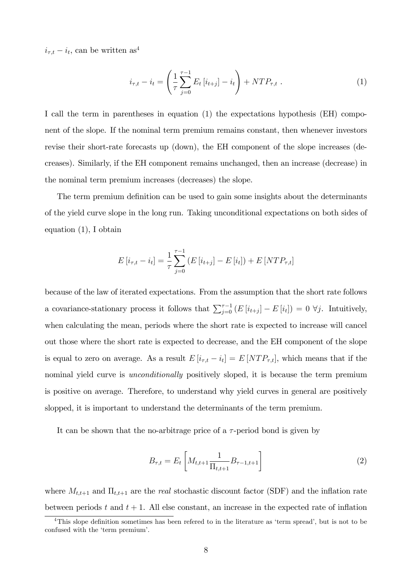$i_{\tau,t} - i_t$ , can be written as<sup>4</sup>

$$
i_{\tau,t} - i_t = \left(\frac{1}{\tau} \sum_{j=0}^{\tau-1} E_t \left[i_{t+j}\right] - i_t\right) + NTP_{\tau,t} . \tag{1}
$$

I call the term in parentheses in equation (1) the expectations hypothesis (EH) component of the slope. If the nominal term premium remains constant, then whenever investors revise their short-rate forecasts up (down), the EH component of the slope increases (decreases). Similarly, if the EH component remains unchanged, then an increase (decrease) in the nominal term premium increases (decreases) the slope.

The term premium definition can be used to gain some insights about the determinants of the yield curve slope in the long run. Taking unconditional expectations on both sides of equation (1), I obtain

$$
E[i_{\tau,t} - i_t] = \frac{1}{\tau} \sum_{j=0}^{\tau-1} (E[i_{t+j}] - E[i_t]) + E[NTP_{\tau,t}]
$$

because of the law of iterated expectations. From the assumption that the short rate follows a covariance-stationary process it follows that  $\sum_{j=0}^{\tau-1} (E[i_{t+j}] - E[i_t]) = 0 \ \forall j$ . Intuitively, when calculating the mean, periods where the short rate is expected to increase will cancel out those where the short rate is expected to decrease, and the EH component of the slope is equal to zero on average. As a result  $E[i_{\tau,t} - i_t] = E[NTP_{\tau,t}]$ , which means that if the nominal yield curve is *unconditionally* positively sloped, it is because the term premium is positive on average. Therefore, to understand why yield curves in general are positively slopped, it is important to understand the determinants of the term premium.

It can be shown that the no-arbitrage price of a  $\tau$ -period bond is given by

$$
B_{\tau,t} = E_t \left[ M_{t,t+1} \frac{1}{\Pi_{t,t+1}} B_{\tau-1,t+1} \right]
$$
 (2)

where  $M_{t,t+1}$  and  $\Pi_{t,t+1}$  are the *real* stochastic discount factor (SDF) and the inflation rate between periods t and  $t + 1$ . All else constant, an increase in the expected rate of inflation

 $4$ This slope definition sometimes has been refered to in the literature as 'term spread', but is not to be confused with the 'term premium'.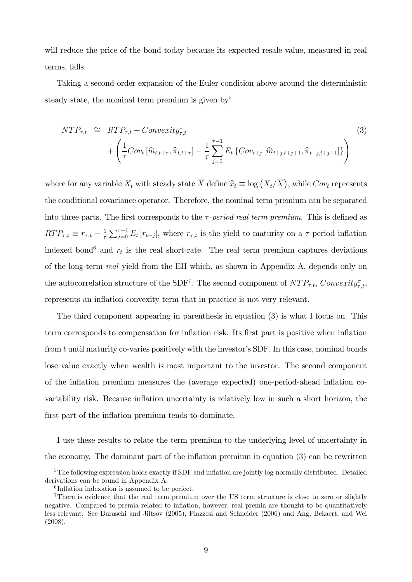will reduce the price of the bond today because its expected resale value, measured in real terms, falls.

Taking a second-order expansion of the Euler condition above around the deterministic steady state, the nominal term premium is given by<sup>5</sup>

$$
NTP_{\tau,t} \cong RTP_{\tau,t} + Convexity_{\tau,t}^{\pi}
$$
\n
$$
+ \left(\frac{1}{\tau}Cov_t\left[\widehat{m}_{t,t+\tau}, \widehat{\pi}_{t,t+\tau}\right] - \frac{1}{\tau}\sum_{j=0}^{\tau-1} E_t\left\{Cov_{t+j}\left[\widehat{m}_{t+j,t+j+1}, \widehat{\pi}_{t+j,t+j+1}\right]\right\}\right)
$$
\n(3)

where for any variable  $X_t$  with steady state  $\overline{X}$  define  $\widehat{x}_t \equiv \log (X_t/\overline{X})$ , while  $Cov_t$  represents the conditional covariance operator. Therefore, the nominal term premium can be separated into three parts. The first corresponds to the  $\tau$ -period real term premium. This is defined as  $RTP_{\tau,t} \equiv r_{\tau,t} - \frac{1}{\tau}$  $\frac{1}{\tau} \sum_{j=0}^{\tau-1} E_t[r_{t+j}],$  where  $r_{\tau,t}$  is the yield to maturity on a  $\tau$ -period inflation indexed bond<sup>6</sup> and  $r_t$  is the real short-rate. The real term premium captures deviations of the long-term real yield from the EH which, as shown in Appendix A, depends only on the autocorrelation structure of the SDF<sup>7</sup>. The second component of  $NTP_{\tau,t}$ , Convexity<sub> $\tau$ </sub>, represents an inflation convexity term that in practice is not very relevant.

The third component appearing in parenthesis in equation (3) is what I focus on. This term corresponds to compensation for inflation risk. Its first part is positive when inflation from  $t$  until maturity co-varies positively with the investor's SDF. In this case, nominal bonds lose value exactly when wealth is most important to the investor. The second component of the ináation premium measures the (average expected) one-period-ahead ináation covariability risk. Because inflation uncertainty is relatively low in such a short horizon, the first part of the inflation premium tends to dominate.

I use these results to relate the term premium to the underlying level of uncertainty in the economy. The dominant part of the inflation premium in equation  $(3)$  can be rewritten

<sup>&</sup>lt;sup>5</sup>The following expression holds exactly if SDF and inflation are jointly log-normally distributed. Detailed derivations can be found in Appendix A.

 ${}^{6}$ Inflation indexation is assumed to be perfect.

<sup>&</sup>lt;sup>7</sup>There is evidence that the real term premium over the US term structure is close to zero or slightly negative. Compared to premia related to ináation, however, real premia are thought to be quantitatively less relevant. See Buraschi and Jiltsov (2005), Piazzesi and Schneider (2006) and Ang, Bekaert, and Wei (2008).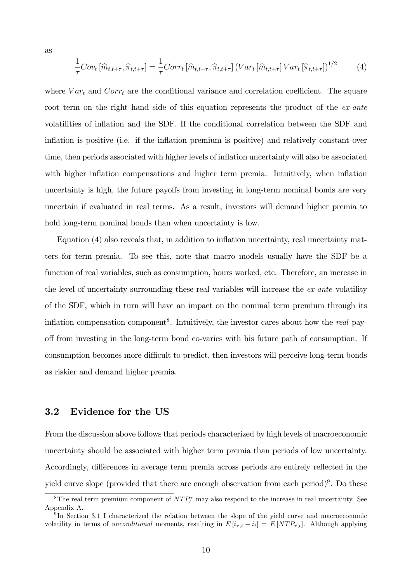as

$$
\frac{1}{\tau}Cov_t\left[\hat{m}_{t,t+\tau},\hat{\pi}_{t,t+\tau}\right] = \frac{1}{\tau}Corr_t\left[\hat{m}_{t,t+\tau},\hat{\pi}_{t,t+\tau}\right]\left(Var_t\left[\hat{m}_{t,t+\tau}\right]Var_t\left[\hat{\pi}_{t,t+\tau}\right]\right)^{1/2} \tag{4}
$$

where  $Var_t$  and  $Corr_t$  are the conditional variance and correlation coefficient. The square root term on the right hand side of this equation represents the product of the ex-ante volatilities of inflation and the SDF. If the conditional correlation between the SDF and inflation is positive (i.e. if the inflation premium is positive) and relatively constant over time, then periods associated with higher levels of inflation uncertainty will also be associated with higher inflation compensations and higher term premia. Intuitively, when inflation uncertainty is high, the future payoffs from investing in long-term nominal bonds are very uncertain if evaluated in real terms. As a result, investors will demand higher premia to hold long-term nominal bonds than when uncertainty is low.

Equation  $(4)$  also reveals that, in addition to inflation uncertainty, real uncertainty matters for term premia. To see this, note that macro models usually have the SDF be a function of real variables, such as consumption, hours worked, etc. Therefore, an increase in the level of uncertainty surrounding these real variables will increase the *ex-ante* volatility of the SDF, which in turn will have an impact on the nominal term premium through its inflation compensation component<sup>8</sup>. Intuitively, the investor cares about how the *real* payoff from investing in the long-term bond co-varies with his future path of consumption. If consumption becomes more difficult to predict, then investors will perceive long-term bonds as riskier and demand higher premia.

#### 3.2 Evidence for the US

From the discussion above follows that periods characterized by high levels of macroeconomic uncertainty should be associated with higher term premia than periods of low uncertainty. Accordingly, differences in average term premia across periods are entirely reflected in the yield curve slope (provided that there are enough observation from each period)<sup>9</sup>. Do these

<sup>&</sup>lt;sup>8</sup>The real term premium component of  $NTP_t^{\tau}$  may also respond to the increase in real uncertainty. See Appendix A.

<sup>&</sup>lt;sup>9</sup>In Section 3.1 I characterized the relation between the slope of the yield curve and macroeconomic volatility in terms of unconditional moments, resulting in  $E[i_{\tau,t} - i_t] = E[NTP_{\tau,t}]$ . Although applying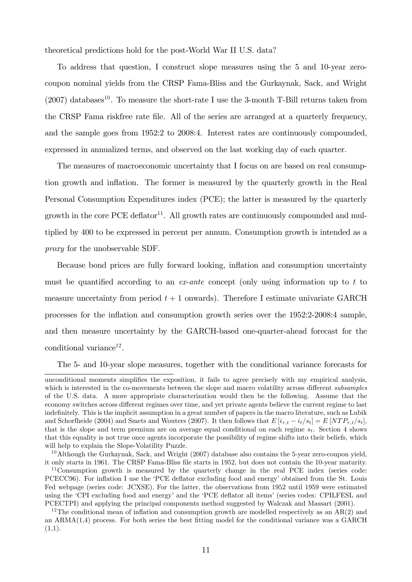theoretical predictions hold for the post-World War II U.S. data?

To address that question, I construct slope measures using the 5 and 10-year zerocoupon nominal yields from the CRSP Fama-Bliss and the Gurkaynak, Sack, and Wright  $(2007)$  databases<sup>10</sup>. To measure the short-rate I use the 3-month T-Bill returns taken from the CRSP Fama riskfree rate file. All of the series are arranged at a quarterly frequency, and the sample goes from 1952:2 to 2008:4. Interest rates are continuously compounded, expressed in annualized terms, and observed on the last working day of each quarter.

The measures of macroeconomic uncertainty that I focus on are based on real consumption growth and ináation. The former is measured by the quarterly growth in the Real Personal Consumption Expenditures index (PCE); the latter is measured by the quarterly growth in the core PCE deflator<sup>11</sup>. All growth rates are continuously compounded and multiplied by 400 to be expressed in percent per annum. Consumption growth is intended as a proxy for the unobservable SDF.

Because bond prices are fully forward looking, inflation and consumption uncertainty must be quantified according to an  $ex$ -ante concept (only using information up to t to measure uncertainty from period  $t + 1$  onwards). Therefore I estimate univariate GARCH processes for the ináation and consumption growth series over the 1952:2-2008:4 sample, and then measure uncertainty by the GARCH-based one-quarter-ahead forecast for the conditional variance<sup>12</sup>.

The 5- and 10-year slope measures, together with the conditional variance forecasts for

unconditional moments simplifies the exposition, it fails to agree precisely with my empirical analysis, which is interested in the co-movements between the slope and macro volatility across different subsamples of the U.S. data. A more appropriate characterization would then be the following. Assume that the economy switches across different regimes over time, and yet private agents believe the current regime to last indefinitely. This is the implicit assumption in a great number of papers in the macro literature, such as Lubik and Schorfheide (2004) and Smets and Wouters (2007). It then follows that  $E[i_{\tau,t} - i_t/s_t] = E[NTP_{\tau,t}/s_t],$ that is the slope and term premium are on average equal conditional on each regime  $s_t$ . Section 4 shows that this equality is not true once agents incorporate the possibility of regime shifts into their beliefs, which will help to explain the Slope-Volatility Puzzle.

 $10$ Although the Gurkaynak, Sack, and Wright (2007) database also contains the 5-year zero-coupon yield. it only starts in 1961. The CRSP Fama-Bliss Öle starts in 1952, but does not contain the 10-year maturity.

<sup>&</sup>lt;sup>11</sup>Consumption growth is measured by the quarterly change in the real PCE index (series code: PCECC96). For inflation I use the 'PCE deflator excluding food and energy' obtained from the St. Louis Fed webpage (series code: JCXSE). For the latter, the observations from 1952 until 1959 were estimated using the 'CPI excluding food and energy' and the 'PCE deflator all items' (series codes: CPILFESL and PCECTPI) and applying the principal components method suggested by Walczak and Massart (2001).

<sup>&</sup>lt;sup>12</sup>The conditional mean of inflation and consumption growth are modelled respectively as an  $AR(2)$  and an  $ARMA(1.4)$  process. For both series the best fitting model for the conditional variance was a GARCH  $(1,1).$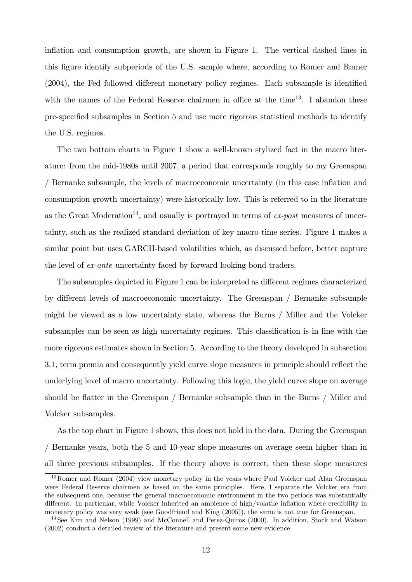inflation and consumption growth, are shown in Figure 1. The vertical dashed lines in this figure identify subperiods of the U.S. sample where, according to Romer and Romer  $(2004)$ , the Fed followed different monetary policy regimes. Each subsample is identified with the names of the Federal Reserve chairmen in office at the time<sup>13</sup>. I abandon these pre-specified subsamples in Section 5 and use more rigorous statistical methods to identify the U.S. regimes.

The two bottom charts in Figure 1 show a well-known stylized fact in the macro literature: from the mid-1980s until 2007, a period that corresponds roughly to my Greenspan / Bernanke subsample, the levels of macroeconomic uncertainty (in this case ináation and consumption growth uncertainty) were historically low. This is referred to in the literature as the Great Moderation<sup>14</sup>, and usually is portrayed in terms of  $ex\text{-}post$  measures of uncertainty, such as the realized standard deviation of key macro time series. Figure 1 makes a similar point but uses GARCH-based volatilities which, as discussed before, better capture the level of ex-ante uncertainty faced by forward looking bond traders.

The subsamples depicted in Figure 1 can be interpreted as different regimes characterized by different levels of macroeconomic uncertainty. The Greenspan / Bernanke subsample might be viewed as a low uncertainty state, whereas the Burns / Miller and the Volcker subsamples can be seen as high uncertainty regimes. This classification is in line with the more rigorous estimates shown in Section 5. According to the theory developed in subsection 3.1, term premia and consequently yield curve slope measures in principle should reflect the underlying level of macro uncertainty. Following this logic, the yield curve slope on average should be flatter in the Greenspan  $/$  Bernanke subsample than in the Burns  $/$  Miller and Volcker subsamples.

As the top chart in Figure 1 shows, this does not hold in the data. During the Greenspan / Bernanke years, both the 5 and 10-year slope measures on average seem higher than in all three previous subsamples. If the theory above is correct, then these slope measures

<sup>&</sup>lt;sup>13</sup>Romer and Romer (2004) view monetary policy in the years where Paul Volcker and Alan Greenspan were Federal Reserve chairmen as based on the same principles. Here, I separate the Volcker era from the subsequent one, because the general macroeconomic environment in the two periods was substantially different. In particular, while Volcker inherited an ambience of high/volatile inflation where credibility in monetary policy was very weak (see Goodfriend and King (2005)), the same is not true for Greenspan.

<sup>&</sup>lt;sup>14</sup>See Kim and Nelson (1999) and McConnell and Perez-Quiros (2000). In addition, Stock and Watson (2002) conduct a detailed review of the literature and present some new evidence.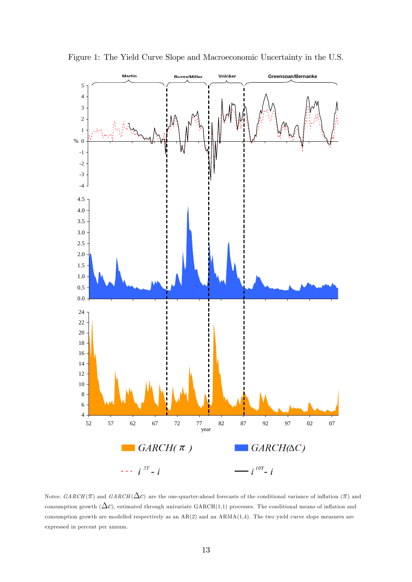

Figure 1: The Yield Curve Slope and Macroeconomic Uncertainty in the U.S.

Notes:  $GARCH(\pi)$  and  $GARCH(\Delta c)$  are the one-quarter-ahead forecasts of the conditional variance of inflation ( $\pi$ ) and consumption growth  $(\Delta c)$ , estimated through univariate GARCH $(1,1)$  processes. The conditional means of inflation and consumption growth are modelled respectively as an  $AR(2)$  and an  $ARMA(1,4)$ . The two yield curve slope measures are expressed in percent per annum.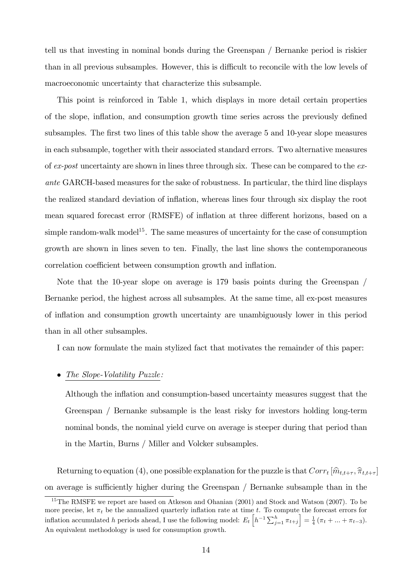tell us that investing in nominal bonds during the Greenspan / Bernanke period is riskier than in all previous subsamples. However, this is difficult to reconcile with the low levels of macroeconomic uncertainty that characterize this subsample.

This point is reinforced in Table 1, which displays in more detail certain properties of the slope, inflation, and consumption growth time series across the previously defined subsamples. The first two lines of this table show the average 5 and 10-year slope measures in each subsample, together with their associated standard errors. Two alternative measures of  $ex$ -post uncertainty are shown in lines three through six. These can be compared to the  $ex$ ante GARCH-based measures for the sake of robustness. In particular, the third line displays the realized standard deviation of inflation, whereas lines four through six display the root mean squared forecast error (RMSFE) of inflation at three different horizons, based on a simple random-walk model<sup>15</sup>. The same measures of uncertainty for the case of consumption growth are shown in lines seven to ten. Finally, the last line shows the contemporaneous correlation coefficient between consumption growth and inflation.

Note that the 10-year slope on average is 179 basis points during the Greenspan / Bernanke period, the highest across all subsamples. At the same time, all ex-post measures of ináation and consumption growth uncertainty are unambiguously lower in this period than in all other subsamples.

I can now formulate the main stylized fact that motivates the remainder of this paper:

#### The Slope-Volatility Puzzle:

Although the inflation and consumption-based uncertainty measures suggest that the Greenspan / Bernanke subsample is the least risky for investors holding long-term nominal bonds, the nominal yield curve on average is steeper during that period than in the Martin, Burns / Miller and Volcker subsamples.

Returning to equation (4), one possible explanation for the puzzle is that  $Corr_t[\hat{m}_{t,t+\tau}, \hat{\pi}_{t,t+\tau}]$ on average is sufficiently higher during the Greenspan / Bernanke subsample than in the

<sup>&</sup>lt;sup>15</sup>The RMSFE we report are based on Atkeson and Ohanian (2001) and Stock and Watson (2007). To be more precise, let  $\pi_t$  be the annualized quarterly inflation rate at time t. To compute the forecast errors for inflation accumulated h periods ahead, I use the following model:  $E_t\left[h^{-1}\sum_{j=1}^h \pi_{t+j}\right] = \frac{1}{4}(\pi_t + ... + \pi_{t-3}).$ An equivalent methodology is used for consumption growth.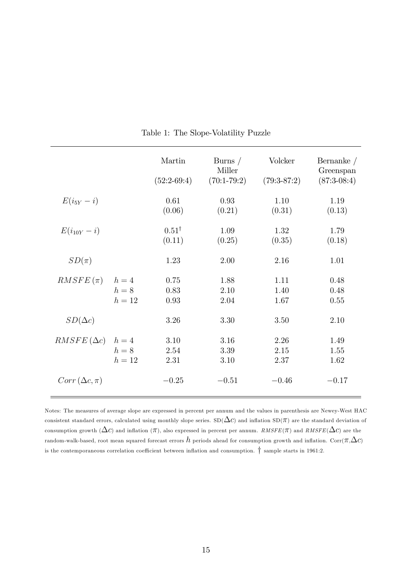|                       |                          | Martin<br>$(52:2-69:4)$    | Burns $/$<br>Miller<br>$(70:1-79:2)$ | Volcker<br>$(79:3-87:2)$ | Bernanke $/$<br>Greenspan<br>$(87:3-08:4)$ |
|-----------------------|--------------------------|----------------------------|--------------------------------------|--------------------------|--------------------------------------------|
| $E(i_{5Y}-i)$         |                          | 0.61<br>(0.06)             | 0.93<br>(0.21)                       | 1.10<br>(0.31)           | 1.19<br>(0.13)                             |
| $E(i_{10Y} - i)$      |                          | $0.51^{\dagger}$<br>(0.11) | 1.09<br>(0.25)                       | 1.32<br>(0.35)           | 1.79<br>(0.18)                             |
| $SD(\pi)$             |                          | 1.23                       | 2.00                                 | 2.16                     | 1.01                                       |
| $RMSFE(\pi)$          | $h=4$<br>$h=8$<br>$h=12$ | 0.75<br>0.83<br>0.93       | 1.88<br>2.10<br>2.04                 | 1.11<br>1.40<br>1.67     | 0.48<br>0.48<br>0.55                       |
| $SD(\Delta c)$        |                          | 3.26                       | 3.30                                 | 3.50                     | 2.10                                       |
| $RMSFE(\Delta c)$     | $h=4$<br>$h=8$<br>$h=12$ | 3.10<br>2.54<br>2.31       | 3.16<br>3.39<br>3.10                 | 2.26<br>2.15<br>2.37     | 1.49<br>1.55<br>1.62                       |
| $Corr(\Delta c, \pi)$ |                          | $-0.25$                    | $-0.51$                              | $-0.46$                  | $-0.17$                                    |

Table 1: The Slope-Volatility Puzzle

Notes: The measures of average slope are expressed in percent per annum and the values in parenthesis are Newey-West HAC consistent standard errors, calculated using monthly slope series.  $SD(\Delta c)$  and inflation  $SD(\pi)$  are the standard deviation of consumption growth  $(\Delta c)$  and inflation  $(\pi)$ , also expressed in percent per annum. RMSFE( $\pi$ ) and RMSFE( $\Delta c$ ) are the random-walk-based, root mean squared forecast errors  $h$  periods ahead for consumption growth and inflation.  $Corr(\pi,\Delta c)$ is the contemporaneous correlation coefficient between inflation and consumption.  $\dagger$  sample starts in 1961:2.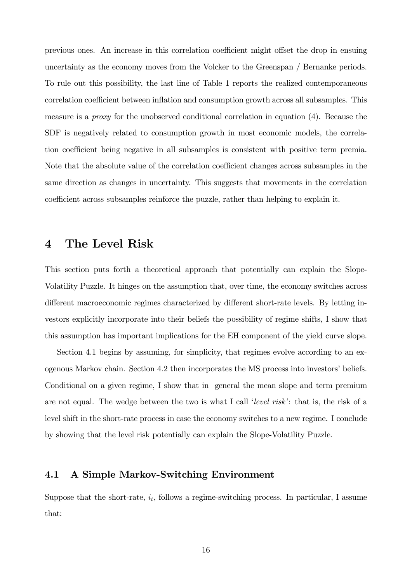previous ones. An increase in this correlation coefficient might offset the drop in ensuing uncertainty as the economy moves from the Volcker to the Greenspan / Bernanke periods. To rule out this possibility, the last line of Table 1 reports the realized contemporaneous correlation coefficient between inflation and consumption growth across all subsamples. This measure is a proxy for the unobserved conditional correlation in equation (4). Because the SDF is negatively related to consumption growth in most economic models, the correlation coefficient being negative in all subsamples is consistent with positive term premia. Note that the absolute value of the correlation coefficient changes across subsamples in the same direction as changes in uncertainty. This suggests that movements in the correlation coefficient across subsamples reinforce the puzzle, rather than helping to explain it.

## 4 The Level Risk

This section puts forth a theoretical approach that potentially can explain the Slope-Volatility Puzzle. It hinges on the assumption that, over time, the economy switches across different macroeconomic regimes characterized by different short-rate levels. By letting investors explicitly incorporate into their beliefs the possibility of regime shifts, I show that this assumption has important implications for the EH component of the yield curve slope.

Section 4.1 begins by assuming, for simplicity, that regimes evolve according to an exogenous Markov chain. Section 4.2 then incorporates the MS process into investors' beliefs. Conditional on a given regime, I show that in general the mean slope and term premium are not equal. The wedge between the two is what I call 'level risk': that is, the risk of a level shift in the short-rate process in case the economy switches to a new regime. I conclude by showing that the level risk potentially can explain the Slope-Volatility Puzzle.

#### 4.1 A Simple Markov-Switching Environment

Suppose that the short-rate,  $i_t$ , follows a regime-switching process. In particular, I assume that: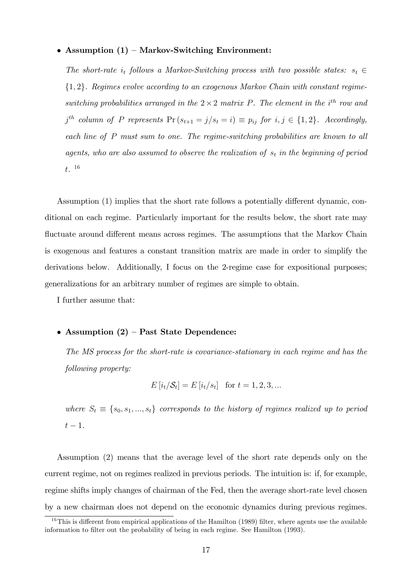#### • Assumption  $(1)$  – Markov-Switching Environment:

The short-rate  $i_t$  follows a Markov-Switching process with two possible states:  $s_t \in$  ${1, 2}$ . Regimes evolve according to an exogenous Markov Chain with constant regimeswitching probabilities arranged in the  $2 \times 2$  matrix P. The element in the i<sup>th</sup> row and  $j^{th}$  column of P represents  $Pr(s_{t+1} = j/s_t = i) \equiv p_{ij}$  for  $i, j \in \{1, 2\}$ . Accordingly, each line of P must sum to one. The regime-switching probabilities are known to all agents, who are also assumed to observe the realization of  $s_t$  in the beginning of period t. 16

Assumption  $(1)$  implies that the short rate follows a potentially different dynamic, conditional on each regime. Particularly important for the results below, the short rate may fluctuate around different means across regimes. The assumptions that the Markov Chain is exogenous and features a constant transition matrix are made in order to simplify the derivations below. Additionally, I focus on the 2-regime case for expositional purposes; generalizations for an arbitrary number of regimes are simple to obtain.

I further assume that:

#### • Assumption  $(2)$  – Past State Dependence:

The MS process for the short-rate is covariance-stationary in each regime and has the following property:

$$
E[i_t|S_t] = E[i_t|s_t] \text{ for } t = 1, 2, 3, ...
$$

where  $S_t \equiv \{s_0, s_1, ..., s_t\}$  corresponds to the history of regimes realized up to period  $t-1$ .

Assumption (2) means that the average level of the short rate depends only on the current regime, not on regimes realized in previous periods. The intuition is: if, for example, regime shifts imply changes of chairman of the Fed, then the average short-rate level chosen by a new chairman does not depend on the economic dynamics during previous regimes.

<sup>&</sup>lt;sup>16</sup>This is different from empirical applications of the Hamilton (1989) filter, where agents use the available information to filter out the probability of being in each regime. See Hamilton (1993).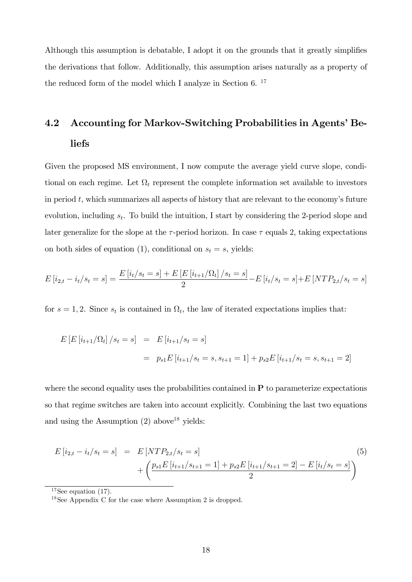Although this assumption is debatable. I adopt it on the grounds that it greatly simplifies the derivations that follow. Additionally, this assumption arises naturally as a property of the reduced form of the model which I analyze in Section 6.<sup>17</sup>

## 4.2 Accounting for Markov-Switching Probabilities in Agents' Beliefs

Given the proposed MS environment, I now compute the average yield curve slope, conditional on each regime. Let  $\Omega_t$  represent the complete information set available to investors in period  $t$ , which summarizes all aspects of history that are relevant to the economy's future evolution, including  $s_t$ . To build the intuition, I start by considering the 2-period slope and later generalize for the slope at the  $\tau$ -period horizon. In case  $\tau$  equals 2, taking expectations on both sides of equation (1), conditional on  $s_t = s$ , yields:

$$
E[i_{2,t} - i_t/s_t = s] = \frac{E[i_t/s_t = s] + E[E[i_{t+1}/\Omega_t]/s_t = s]}{2} - E[i_t/s_t = s] + E[NTP_{2,t}/s_t = s]
$$

for  $s = 1, 2$ . Since  $s_t$  is contained in  $\Omega_t$ , the law of iterated expectations implies that:

$$
E\left[E\left[i_{t+1}/\Omega_t\right]/s_t = s\right] = E\left[i_{t+1}/s_t = s\right]
$$

$$
= p_{s1}E\left[i_{t+1}/s_t = s, s_{t+1} = 1\right] + p_{s2}E\left[i_{t+1}/s_t = s, s_{t+1} = 2\right]
$$

where the second equality uses the probabilities contained in  $P$  to parameterize expectations so that regime switches are taken into account explicitly. Combining the last two equations and using the Assumption  $(2)$  above<sup>18</sup> yields:

$$
E[i_{2,t} - i_t/s_t = s] = E[NTP_{2,t}/s_t = s]
$$
  
+ 
$$
\left(\frac{p_{s1}E[i_{t+1}/s_{t+1} = 1] + p_{s2}E[i_{t+1}/s_{t+1} = 2] - E[i_t/s_t = s]}{2}\right)
$$

$$
(5)
$$

 $17$ See equation (17).

<sup>&</sup>lt;sup>18</sup>See Appendix C for the case where Assumption 2 is dropped.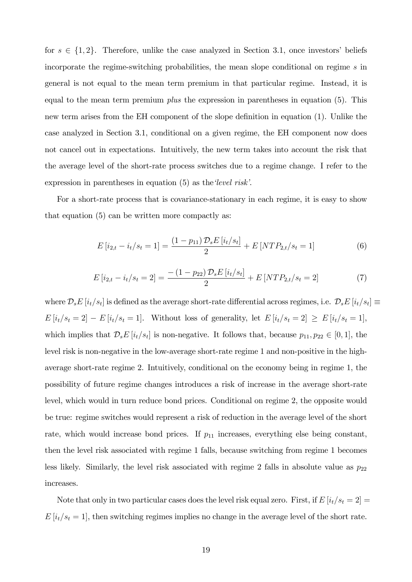for  $s \in \{1, 2\}$ . Therefore, unlike the case analyzed in Section 3.1, once investors' beliefs incorporate the regime-switching probabilities, the mean slope conditional on regime s in general is not equal to the mean term premium in that particular regime. Instead, it is equal to the mean term premium *plus* the expression in parentheses in equation  $(5)$ . This new term arises from the EH component of the slope definition in equation (1). Unlike the case analyzed in Section 3.1, conditional on a given regime, the EH component now does not cancel out in expectations. Intuitively, the new term takes into account the risk that the average level of the short-rate process switches due to a regime change. I refer to the expression in parentheses in equation  $(5)$  as the *level risk*.

For a short-rate process that is covariance-stationary in each regime, it is easy to show that equation (5) can be written more compactly as:

$$
E[i_{2,t} - i_t/s_t = 1] = \frac{(1 - p_{11})\mathcal{D}_s E[i_t/s_t]}{2} + E[NTP_{2,t}/s_t = 1]
$$
\n(6)

$$
E[i_{2,t} - i_t/s_t = 2] = \frac{- (1 - p_{22}) \mathcal{D}_s E[i_t/s_t]}{2} + E[NTP_{2,t}/s_t = 2]
$$
\n(7)

where  $\mathcal{D}_s E[i_t/s_t]$  is defined as the average short-rate differential across regimes, i.e.  $\mathcal{D}_s E[i_t/s_t] \equiv$  $E[i_t/s_t = 2] - E[i_t/s_t = 1].$  Without loss of generality, let  $E[i_t/s_t = 2] \ge E[i_t/s_t = 1],$ which implies that  $\mathcal{D}_s E[i_t/s_t]$  is non-negative. It follows that, because  $p_{11}, p_{22} \in [0, 1]$ , the level risk is non-negative in the low-average short-rate regime 1 and non-positive in the highaverage short-rate regime 2. Intuitively, conditional on the economy being in regime 1, the possibility of future regime changes introduces a risk of increase in the average short-rate level, which would in turn reduce bond prices. Conditional on regime 2, the opposite would be true: regime switches would represent a risk of reduction in the average level of the short rate, which would increase bond prices. If  $p_{11}$  increases, everything else being constant, then the level risk associated with regime 1 falls, because switching from regime 1 becomes less likely. Similarly, the level risk associated with regime 2 falls in absolute value as  $p_{22}$ increases.

Note that only in two particular cases does the level risk equal zero. First, if  $E[i_t/s_t = 2] =$  $E[i_t/s_t = 1]$ , then switching regimes implies no change in the average level of the short rate.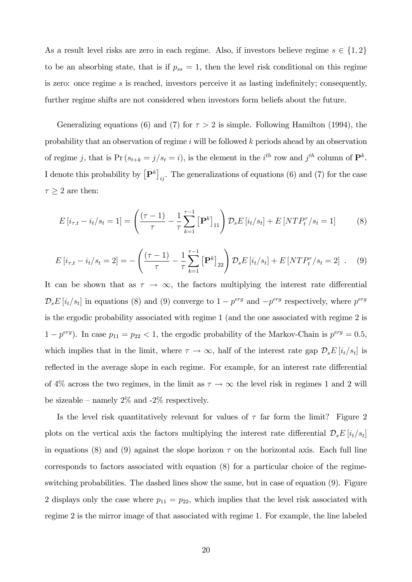As a result level risks are zero in each regime. Also, if investors believe regime  $s \in \{1, 2\}$ to be an absorbing state, that is if  $p_{ss} = 1$ , then the level risk conditional on this regime is zero: once regime  $s$  is reached, investors perceive it as lasting indefinitely; consequently, further regime shifts are not considered when investors form beliefs about the future.

Generalizing equations (6) and (7) for  $\tau > 2$  is simple. Following Hamilton (1994), the probability that an observation of regime i will be followed k periods ahead by an observation of regime j, that is  $Pr(s_{t+k} = j/s_t = i)$ , is the element in the i<sup>th</sup> row and j<sup>th</sup> column of  $\mathbf{P}^k$ . I denote this probability by  $[P^k]_{ij}$ . The generalizations of equations (6) and (7) for the case  $\tau \geq 2$  are then:

$$
E[i_{\tau,t} - i_t/s_t = 1] = \left(\frac{(\tau - 1)}{\tau} - \frac{1}{\tau} \sum_{k=1}^{\tau - 1} \left[\mathbf{P}^k\right]_{11}\right) \mathcal{D}_s E[i_t/s_t] + E[NTP_t^{\tau}/s_t = 1]
$$
(8)

$$
E[i_{\tau,t} - i_t/s_t = 2] = -\left(\frac{(\tau - 1)}{\tau} - \frac{1}{\tau} \sum_{k=1}^{\tau - 1} \left[\mathbf{P}^k\right]_{22}\right) \mathcal{D}_s E[i_t/s_t] + E[NTP_t^{\tau}/s_t = 2] \ . \tag{9}
$$

It can be shown that as  $\tau \to \infty$ , the factors multiplying the interest rate differential  $\mathcal{D}_s E[i_t/s_t]$  in equations (8) and (9) converge to  $1 - p^{erg}$  and  $-p^{erg}$  respectively, where  $p^{erg}$ is the ergodic probability associated with regime 1 (and the one associated with regime 2 is  $1 - p^{erg}$ ). In case  $p_{11} = p_{22} < 1$ , the ergodic probability of the Markov-Chain is  $p^{erg} = 0.5$ , which implies that in the limit, where  $\tau \to \infty$ , half of the interest rate gap  $\mathcal{D}_s E[i_t/s_t]$  is reflected in the average slope in each regime. For example, for an interest rate differential of 4% across the two regimes, in the limit as  $\tau \to \infty$  the level risk in regimes 1 and 2 will be sizeable – namely  $2\%$  and -2% respectively.

Is the level risk quantitatively relevant for values of  $\tau$  far form the limit? Figure 2 plots on the vertical axis the factors multiplying the interest rate differential  $\mathcal{D}_s E[i_t/s_t]$ in equations (8) and (9) against the slope horizon  $\tau$  on the horizontal axis. Each full line corresponds to factors associated with equation (8) for a particular choice of the regimeswitching probabilities. The dashed lines show the same, but in case of equation (9). Figure 2 displays only the case where  $p_{11} = p_{22}$ , which implies that the level risk associated with regime 2 is the mirror image of that associated with regime 1. For example, the line labeled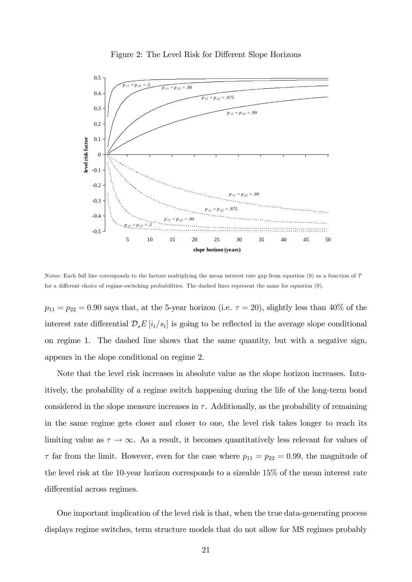

Figure 2: The Level Risk for Different Slope Horizons

Notes: Each full line corresponds to the factors multiplying the mean interest rate gap from equation  $(8)$  as a function of  $\tau$ for a different choice of regime-switching probabilities. The dashed lines represent the same for equation  $(9)$ .

 $p_{11} = p_{22} = 0.90$  says that, at the 5-year horizon (i.e.  $\tau = 20$ ), slightly less than 40% of the interest rate differential  $\mathcal{D}_s E[i_t/s_t]$  is going to be reflected in the average slope conditional on regime 1. The dashed line shows that the same quantity, but with a negative sign, appears in the slope conditional on regime 2.

Note that the level risk increases in absolute value as the slope horizon increases. Intuitively, the probability of a regime switch happening during the life of the long-term bond considered in the slope measure increases in  $\tau$ . Additionally, as the probability of remaining in the same regime gets closer and closer to one, the level risk takes longer to reach its limiting value as  $\tau \to \infty$ . As a result, it becomes quantitatively less relevant for values of  $\tau$  far from the limit. However, even for the case where  $p_{11} = p_{22} = 0.99$ , the magnitude of the level risk at the 10-year horizon corresponds to a sizeable 15% of the mean interest rate differential across regimes.

One important implication of the level risk is that, when the true data-generating process displays regime switches, term structure models that do not allow for MS regimes probably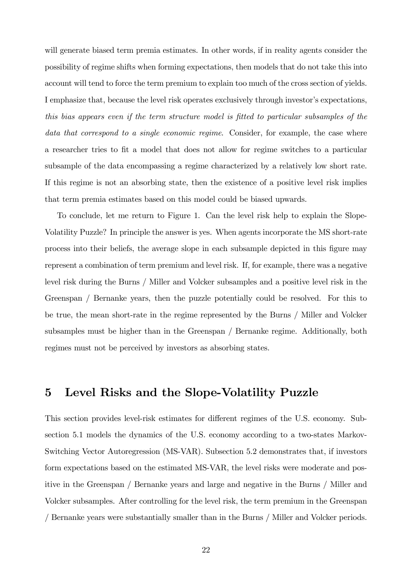will generate biased term premia estimates. In other words, if in reality agents consider the possibility of regime shifts when forming expectations, then models that do not take this into account will tend to force the term premium to explain too much of the cross section of yields. I emphasize that, because the level risk operates exclusively through investor's expectations, this bias appears even if the term structure model is Ötted to particular subsamples of the data that correspond to a single economic regime. Consider, for example, the case where a researcher tries to fit a model that does not allow for regime switches to a particular subsample of the data encompassing a regime characterized by a relatively low short rate. If this regime is not an absorbing state, then the existence of a positive level risk implies that term premia estimates based on this model could be biased upwards.

To conclude, let me return to Figure 1. Can the level risk help to explain the Slope-Volatility Puzzle? In principle the answer is yes. When agents incorporate the MS short-rate process into their beliefs, the average slope in each subsample depicted in this Ögure may represent a combination of term premium and level risk. If, for example, there was a negative level risk during the Burns / Miller and Volcker subsamples and a positive level risk in the Greenspan / Bernanke years, then the puzzle potentially could be resolved. For this to be true, the mean short-rate in the regime represented by the Burns / Miller and Volcker subsamples must be higher than in the Greenspan / Bernanke regime. Additionally, both regimes must not be perceived by investors as absorbing states.

## 5 Level Risks and the Slope-Volatility Puzzle

This section provides level-risk estimates for different regimes of the U.S. economy. Subsection 5.1 models the dynamics of the U.S. economy according to a two-states Markov-Switching Vector Autoregression (MS-VAR). Subsection 5.2 demonstrates that, if investors form expectations based on the estimated MS-VAR, the level risks were moderate and positive in the Greenspan / Bernanke years and large and negative in the Burns / Miller and Volcker subsamples. After controlling for the level risk, the term premium in the Greenspan / Bernanke years were substantially smaller than in the Burns / Miller and Volcker periods.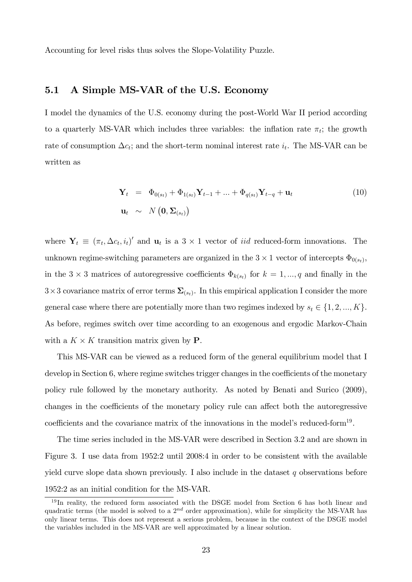Accounting for level risks thus solves the Slope-Volatility Puzzle.

#### 5.1 A Simple MS-VAR of the U.S. Economy

I model the dynamics of the U.S. economy during the post-World War II period according to a quarterly MS-VAR which includes three variables: the inflation rate  $\pi_t$ ; the growth rate of consumption  $\Delta c_t$ ; and the short-term nominal interest rate  $i_t$ . The MS-VAR can be written as

$$
\mathbf{Y}_{t} = \Phi_{0(s_{t})} + \Phi_{1(s_{t})} \mathbf{Y}_{t-1} + \ldots + \Phi_{q(s_{t})} \mathbf{Y}_{t-q} + \mathbf{u}_{t}
$$
\n
$$
\mathbf{u}_{t} \sim N\left(\mathbf{0}, \Sigma_{(s_{t})}\right)
$$
\n(10)

where  $\mathbf{Y}_t \equiv (\pi_t, \Delta c_t, i_t)'$  and  $\mathbf{u}_t$  is a 3 × 1 vector of *iid* reduced-form innovations. The unknown regime-switching parameters are organized in the  $3 \times 1$  vector of intercepts  $\Phi_{0(s_t)}$ , in the  $3 \times 3$  matrices of autoregressive coefficients  $\Phi_{k(s_t)}$  for  $k = 1, ..., q$  and finally in the  $3\times 3$  covariance matrix of error terms  $\Sigma_{(s_t)}$ . In this empirical application I consider the more general case where there are potentially more than two regimes indexed by  $s_t \in \{1, 2, ..., K\}$ . As before, regimes switch over time according to an exogenous and ergodic Markov-Chain with a  $K \times K$  transition matrix given by **P**.

This MS-VAR can be viewed as a reduced form of the general equilibrium model that I develop in Section 6, where regime switches trigger changes in the coefficients of the monetary policy rule followed by the monetary authority. As noted by Benati and Surico (2009), changes in the coefficients of the monetary policy rule can affect both the autoregressive coefficients and the covariance matrix of the innovations in the model's reduced-form<sup>19</sup>.

The time series included in the MS-VAR were described in Section 3.2 and are shown in Figure 3. I use data from 1952:2 until 2008:4 in order to be consistent with the available yield curve slope data shown previously. I also include in the dataset  $q$  observations before 1952:2 as an initial condition for the MS-VAR.

<sup>&</sup>lt;sup>19</sup> In reality, the reduced form associated with the DSGE model from Section 6 has both linear and quadratic terms (the model is solved to a  $2^{nd}$  order approximation), while for simplicity the MS-VAR has only linear terms. This does not represent a serious problem, because in the context of the DSGE model the variables included in the MS-VAR are well approximated by a linear solution.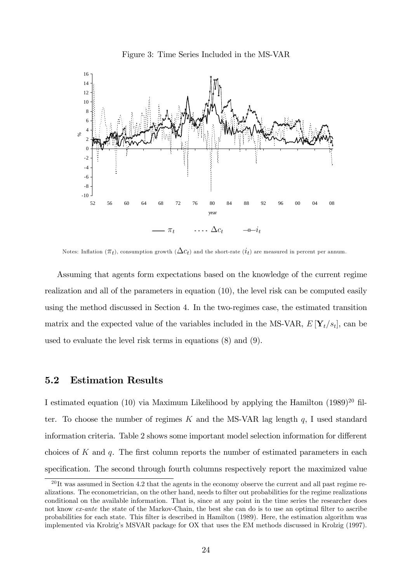

Figure 3: Time Series Included in the MS-VAR

Notes: Inflation ( $\pi_t$ ), consumption growth ( $\Delta c_t$ ) and the short-rate ( $i_t$ ) are measured in percent per annum.

Assuming that agents form expectations based on the knowledge of the current regime realization and all of the parameters in equation (10), the level risk can be computed easily using the method discussed in Section 4. In the two-regimes case, the estimated transition matrix and the expected value of the variables included in the MS-VAR,  $E[\mathbf{Y}_t/s_t]$ , can be used to evaluate the level risk terms in equations (8) and (9).

#### 5.2 Estimation Results

I estimated equation (10) via Maximum Likelihood by applying the Hamilton  $(1989)^{20}$  filter. To choose the number of regimes  $K$  and the MS-VAR lag length  $q$ , I used standard information criteria. Table 2 shows some important model selection information for different choices of  $K$  and  $q$ . The first column reports the number of estimated parameters in each specification. The second through fourth columns respectively report the maximized value

 $^{20}$ It was assumed in Section 4.2 that the agents in the economy observe the current and all past regime realizations. The econometrician, on the other hand, needs to filter out probabilities for the regime realizations conditional on the available information. That is, since at any point in the time series the researcher does not know ex-ante the state of the Markov-Chain, the best she can do is to use an optimal filter to ascribe probabilities for each state. This Ölter is described in Hamilton (1989). Here, the estimation algorithm was implemented via Krolzig's MSVAR package for OX that uses the EM methods discussed in Krolzig (1997).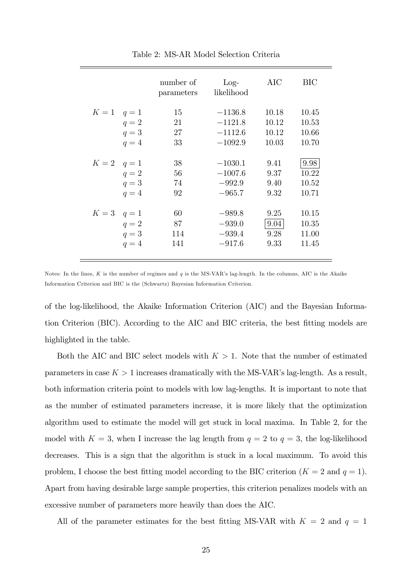|                 | number of<br>parameters | $Log-$<br>likelihood | AIC   | BIC   |
|-----------------|-------------------------|----------------------|-------|-------|
| $K=1$ $q=1$     | 15                      | $-1136.8$            | 10.18 | 10.45 |
| $q=2$           | 21                      | $-1121.8$            | 10.12 | 10.53 |
| $q=3$           | 27                      | $-1112.6$            | 10.12 | 10.66 |
| $q=4$           | 33                      | $-1092.9$            | 10.03 | 10.70 |
|                 |                         |                      |       |       |
| $K=2$ $q=1$     | 38                      | $-1030.1$            | 9.41  | 9.98  |
| $q=2$           | 56                      | $-1007.6$            | 9.37  | 10.22 |
| $q=3$           | 74                      | $-992.9$             | 9.40  | 10.52 |
| $q=4$           | 92                      | $-965.7$             | 9.32  | 10.71 |
|                 |                         |                      |       |       |
| $K = 3$ $q = 1$ | 60                      | $-989.8$             | 9.25  | 10.15 |
| $q=2$           | 87                      | $-939.0$             | 9.04  | 10.35 |
| $q=3$           | 114                     | $-939.4$             | 9.28  | 11.00 |
| $q=4$           | 141                     | $-917.6$             | 9.33  | 11.45 |
|                 |                         |                      |       |       |

Table 2: MS-AR Model Selection Criteria

Notes: In the lines, K is the number of regimes and  $q$  is the MS-VAR's lag-length. In the columns, AIC is the Akaike Information Criterion and BIC is the (Schwartz) Bayesian Information Criterion.

of the log-likelihood, the Akaike Information Criterion (AIC) and the Bayesian Information Criterion (BIC). According to the AIC and BIC criteria, the best fitting models are highlighted in the table.

Both the AIC and BIC select models with  $K > 1$ . Note that the number of estimated parameters in case  $K > 1$  increases dramatically with the MS-VAR's lag-length. As a result, both information criteria point to models with low lag-lengths. It is important to note that as the number of estimated parameters increase, it is more likely that the optimization algorithm used to estimate the model will get stuck in local maxima. In Table 2, for the model with  $K = 3$ , when I increase the lag length from  $q = 2$  to  $q = 3$ , the log-likelihood decreases. This is a sign that the algorithm is stuck in a local maximum. To avoid this problem, I choose the best fitting model according to the BIC criterion  $(K = 2 \text{ and } q = 1)$ . Apart from having desirable large sample properties, this criterion penalizes models with an excessive number of parameters more heavily than does the AIC.

All of the parameter estimates for the best fitting MS-VAR with  $K = 2$  and  $q = 1$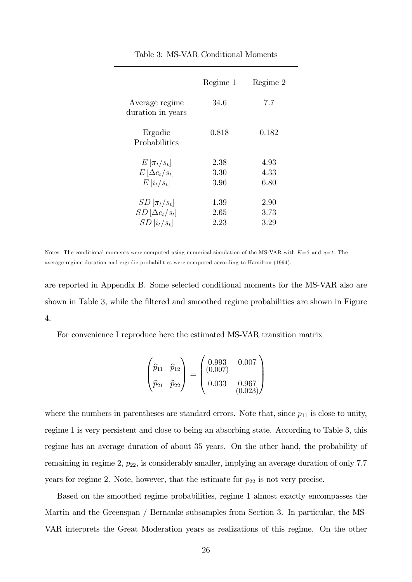|                                                                     | Regime 1                 | Regime 2             |
|---------------------------------------------------------------------|--------------------------|----------------------|
| Average regime<br>duration in years                                 | 34.6                     | 7.7                  |
| Ergodic<br>Probabilities                                            | 0.818                    | 0.182                |
| $E[\pi_t/s_t]$<br>$E\left[\Delta c_t/s_t\right]$<br>$E[i_t/s_t]$    | 2.38<br>3.30<br>3.96     | 4.93<br>4.33<br>6.80 |
| $SD[\pi_t/s_t]$<br>$SD\left[\Delta c_t/s_t\right]$<br>$SD[i_t/s_t]$ | 1.39<br>$2.65\,$<br>2.23 | 2.90<br>3.73<br>3.29 |

Table 3: MS-VAR Conditional Moments

Notes: The conditional moments were computed using numerical simulation of the MS-VAR with  $K=2$  and  $q=1$ . The average regime duration and ergodic probabilities were computed according to Hamilton (1994).

are reported in Appendix B. Some selected conditional moments for the MS-VAR also are shown in Table 3, while the filtered and smoothed regime probabilities are shown in Figure 4.

For convenience I reproduce here the estimated MS-VAR transition matrix

$$
\begin{pmatrix}\n\hat{p}_{11} & \hat{p}_{12} \\
\hat{p}_{21} & \hat{p}_{22}\n\end{pmatrix} = \begin{pmatrix}\n0.993 & 0.007 \\
(0.007) & 0.967 \\
0.033 & 0.967 \\
(0.023)\n\end{pmatrix}
$$

where the numbers in parentheses are standard errors. Note that, since  $p_{11}$  is close to unity, regime 1 is very persistent and close to being an absorbing state. According to Table 3, this regime has an average duration of about 35 years. On the other hand, the probability of remaining in regime 2,  $p_{22}$ , is considerably smaller, implying an average duration of only 7.7 years for regime 2. Note, however, that the estimate for  $p_{22}$  is not very precise.

Based on the smoothed regime probabilities, regime 1 almost exactly encompasses the Martin and the Greenspan / Bernanke subsamples from Section 3. In particular, the MS-VAR interprets the Great Moderation years as realizations of this regime. On the other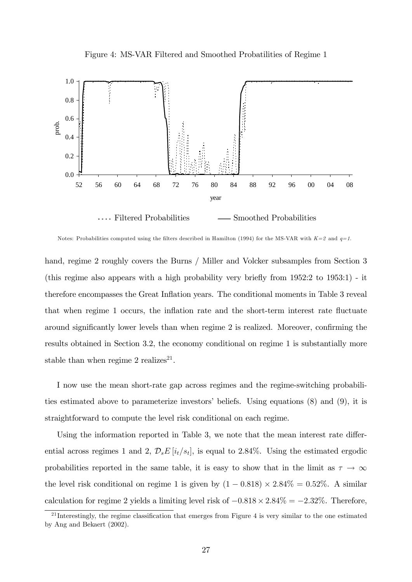



Notes: Probabilities computed using the filters described in Hamilton (1994) for the MS-VAR with  $K=2$  and  $q=1$ .

hand, regime 2 roughly covers the Burns / Miller and Volcker subsamples from Section 3 (this regime also appears with a high probability very briefly from  $1952:2$  to  $1953:1$ ) - it therefore encompasses the Great Ináation years. The conditional moments in Table 3 reveal that when regime 1 occurs, the inflation rate and the short-term interest rate fluctuate around significantly lower levels than when regime 2 is realized. Moreover, confirming the results obtained in Section 3.2, the economy conditional on regime 1 is substantially more stable than when regime 2 realizes<sup>21</sup>.

I now use the mean short-rate gap across regimes and the regime-switching probabilities estimated above to parameterize investors' beliefs. Using equations  $(8)$  and  $(9)$ , it is straightforward to compute the level risk conditional on each regime.

Using the information reported in Table 3, we note that the mean interest rate differential across regimes 1 and 2,  $\mathcal{D}_s E[i_t/s_t]$ , is equal to 2.84%. Using the estimated ergodic probabilities reported in the same table, it is easy to show that in the limit as  $\tau \to \infty$ the level risk conditional on regime 1 is given by  $(1 - 0.818) \times 2.84\% = 0.52\%$ . A similar calculation for regime 2 yields a limiting level risk of  $-0.818 \times 2.84\% = -2.32\%$ . Therefore,

 $21$  Interestingly, the regime classification that emerges from Figure 4 is very similar to the one estimated by Ang and Bekaert (2002).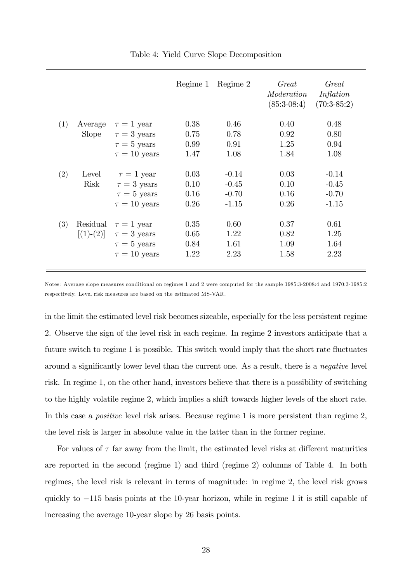|     |              |                   | Regime 1 | Regime 2 | Great<br>Moderation<br>$(85:3-08:4)$ | Great<br>Inflation<br>$(70:3-85:2)$ |
|-----|--------------|-------------------|----------|----------|--------------------------------------|-------------------------------------|
| (1) | Average      | $\tau = 1$ year   | 0.38     | 0.46     | 0.40                                 | 0.48                                |
|     | <b>Slope</b> | $\tau = 3$ years  | 0.75     | 0.78     | 0.92                                 | 0.80                                |
|     |              | $\tau = 5$ years  | 0.99     | 0.91     | 1.25                                 | 0.94                                |
|     |              | $\tau = 10$ years | 1.47     | 1.08     | 1.84                                 | 1.08                                |
|     |              |                   |          |          |                                      |                                     |
| (2) | Level        | $\tau = 1$ year   | 0.03     | $-0.14$  | 0.03                                 | $-0.14$                             |
|     | Risk         | $\tau = 3$ years  | 0.10     | $-0.45$  | 0.10                                 | $-0.45$                             |
|     |              | $\tau = 5$ years  | 0.16     | $-0.70$  | 0.16                                 | $-0.70$                             |
|     |              | $\tau = 10$ years | 0.26     | $-1.15$  | 0.26                                 | $-1.15$                             |
|     |              |                   |          |          |                                      |                                     |
| (3) | Residual     | $\tau = 1$ year   | 0.35     | 0.60     | 0.37                                 | 0.61                                |
|     | $[(1)-(2)]$  | $\tau = 3$ years  | 0.65     | 1.22     | 0.82                                 | 1.25                                |
|     |              | $\tau = 5$ years  | 0.84     | 1.61     | 1.09                                 | 1.64                                |
|     |              | $\tau = 10$ years | 1.22     | 2.23     | 1.58                                 | 2.23                                |
|     |              |                   |          |          |                                      |                                     |

Table 4: Yield Curve Slope Decomposition

Notes: Average slope measures conditional on regimes 1 and 2 were computed for the sample 1985:3-2008:4 and 1970:3-1985:2 respectively. Level risk measures are based on the estimated MS-VAR.

in the limit the estimated level risk becomes sizeable, especially for the less persistent regime 2. Observe the sign of the level risk in each regime. In regime 2 investors anticipate that a future switch to regime 1 is possible. This switch would imply that the short rate fluctuates around a significantly lower level than the current one. As a result, there is a *negative* level risk. In regime 1, on the other hand, investors believe that there is a possibility of switching to the highly volatile regime 2, which implies a shift towards higher levels of the short rate. In this case a *positive* level risk arises. Because regime 1 is more persistent than regime 2, the level risk is larger in absolute value in the latter than in the former regime.

For values of  $\tau$  far away from the limit, the estimated level risks at different maturities are reported in the second (regime 1) and third (regime 2) columns of Table 4. In both regimes, the level risk is relevant in terms of magnitude: in regime 2, the level risk grows quickly to  $-115$  basis points at the 10-year horizon, while in regime 1 it is still capable of increasing the average 10-year slope by 26 basis points.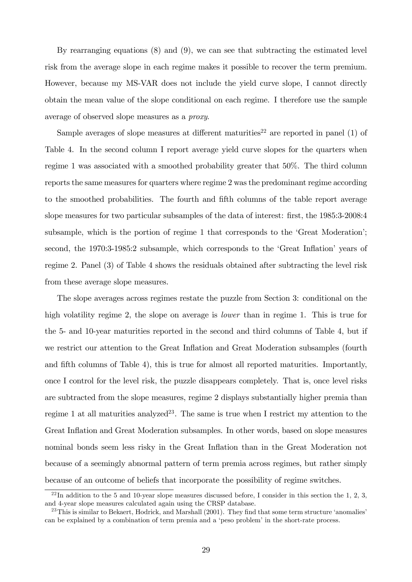By rearranging equations  $(8)$  and  $(9)$ , we can see that subtracting the estimated level risk from the average slope in each regime makes it possible to recover the term premium. However, because my MS-VAR does not include the yield curve slope, I cannot directly obtain the mean value of the slope conditional on each regime. I therefore use the sample average of observed slope measures as a proxy.

Sample averages of slope measures at different maturities<sup>22</sup> are reported in panel  $(1)$  of Table 4. In the second column I report average yield curve slopes for the quarters when regime 1 was associated with a smoothed probability greater that 50%. The third column reports the same measures for quarters where regime 2 was the predominant regime according to the smoothed probabilities. The fourth and fifth columns of the table report average slope measures for two particular subsamples of the data of interest: first, the 1985:3-2008:4 subsample, which is the portion of regime 1 that corresponds to the 'Great Moderation'; second, the 1970:3-1985:2 subsample, which corresponds to the 'Great Inflation' years of regime 2. Panel (3) of Table 4 shows the residuals obtained after subtracting the level risk from these average slope measures.

The slope averages across regimes restate the puzzle from Section 3: conditional on the high volatility regime 2, the slope on average is *lower* than in regime 1. This is true for the 5- and 10-year maturities reported in the second and third columns of Table 4, but if we restrict our attention to the Great Inflation and Great Moderation subsamples (fourth and fifth columns of Table 4), this is true for almost all reported maturities. Importantly, once I control for the level risk, the puzzle disappears completely. That is, once level risks are subtracted from the slope measures, regime 2 displays substantially higher premia than regime 1 at all maturities analyzed<sup>23</sup>. The same is true when I restrict my attention to the Great Ináation and Great Moderation subsamples. In other words, based on slope measures nominal bonds seem less risky in the Great Inflation than in the Great Moderation not because of a seemingly abnormal pattern of term premia across regimes, but rather simply because of an outcome of beliefs that incorporate the possibility of regime switches.

 $^{22}$ In addition to the 5 and 10-year slope measures discussed before, I consider in this section the 1, 2, 3, and 4-year slope measures calculated again using the CRSP database.

 $^{23}$ This is similar to Bekaert, Hodrick, and Marshall (2001). They find that some term structure 'anomalies' can be explained by a combination of term premia and a 'peso problem' in the short-rate process.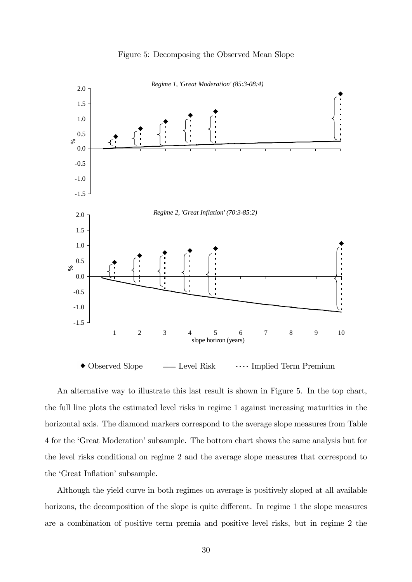

#### Figure 5: Decomposing the Observed Mean Slope

An alternative way to illustrate this last result is shown in Figure 5. In the top chart, the full line plots the estimated level risks in regime 1 against increasing maturities in the horizontal axis. The diamond markers correspond to the average slope measures from Table 4 for the 'Great Moderation' subsample. The bottom chart shows the same analysis but for the level risks conditional on regime 2 and the average slope measures that correspond to the 'Great Inflation' subsample.

Although the yield curve in both regimes on average is positively sloped at all available horizons, the decomposition of the slope is quite different. In regime 1 the slope measures are a combination of positive term premia and positive level risks, but in regime 2 the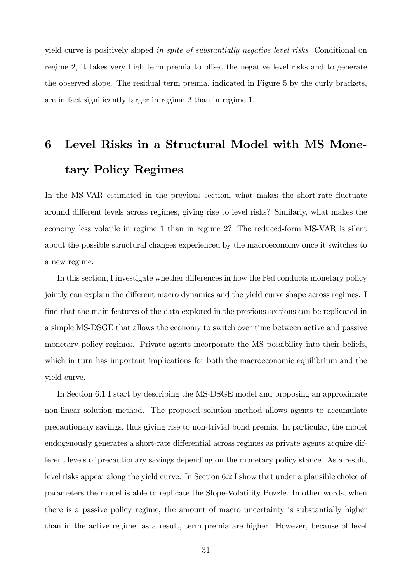yield curve is positively sloped in spite of substantially negative level risks. Conditional on regime 2, it takes very high term premia to offset the negative level risks and to generate the observed slope. The residual term premia, indicated in Figure 5 by the curly brackets, are in fact significantly larger in regime 2 than in regime 1.

# 6 Level Risks in a Structural Model with MS Monetary Policy Regimes

In the MS-VAR estimated in the previous section, what makes the short-rate fluctuate around different levels across regimes, giving rise to level risks? Similarly, what makes the economy less volatile in regime 1 than in regime 2? The reduced-form MS-VAR is silent about the possible structural changes experienced by the macroeconomy once it switches to a new regime.

In this section, I investigate whether differences in how the Fed conducts monetary policy jointly can explain the different macro dynamics and the yield curve shape across regimes. I find that the main features of the data explored in the previous sections can be replicated in a simple MS-DSGE that allows the economy to switch over time between active and passive monetary policy regimes. Private agents incorporate the MS possibility into their beliefs, which in turn has important implications for both the macroeconomic equilibrium and the yield curve.

In Section 6.1 I start by describing the MS-DSGE model and proposing an approximate non-linear solution method. The proposed solution method allows agents to accumulate precautionary savings, thus giving rise to non-trivial bond premia. In particular, the model endogenously generates a short-rate differential across regimes as private agents acquire different levels of precautionary savings depending on the monetary policy stance. As a result, level risks appear along the yield curve. In Section 6.2 I show that under a plausible choice of parameters the model is able to replicate the Slope-Volatility Puzzle. In other words, when there is a passive policy regime, the amount of macro uncertainty is substantially higher than in the active regime; as a result, term premia are higher. However, because of level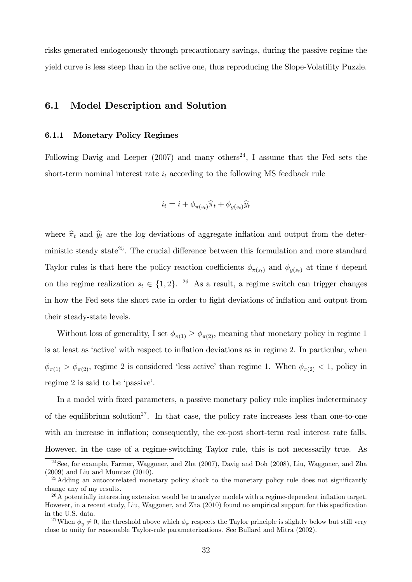risks generated endogenously through precautionary savings, during the passive regime the yield curve is less steep than in the active one, thus reproducing the Slope-Volatility Puzzle.

#### 6.1 Model Description and Solution

#### 6.1.1 Monetary Policy Regimes

Following Davig and Leeper (2007) and many others<sup>24</sup>, I assume that the Fed sets the short-term nominal interest rate  $i_t$  according to the following MS feedback rule

$$
i_t = \overline{i} + \phi_{\pi(s_t)}\hat{\pi}_t + \phi_{y(s_t)}\hat{y}_t
$$

where  $\hat{\pi}_t$  and  $\hat{y}_t$  are the log deviations of aggregate inflation and output from the deterministic steady state<sup>25</sup>. The crucial difference between this formulation and more standard Taylor rules is that here the policy reaction coefficients  $\phi_{\pi(s_t)}$  and  $\phi_{y(s_t)}$  at time t depend on the regime realization  $s_t \in \{1, 2\}$ . <sup>26</sup> As a result, a regime switch can trigger changes in how the Fed sets the short rate in order to fight deviations of inflation and output from their steady-state levels.

Without loss of generality, I set  $\phi_{\pi(1)} \geq \phi_{\pi(2)}$ , meaning that monetary policy in regime 1 is at least as 'active' with respect to inflation deviations as in regime 2. In particular, when  $\phi_{\pi(1)} > \phi_{\pi(2)}$ , regime 2 is considered 'less active' than regime 1. When  $\phi_{\pi(2)} < 1$ , policy in regime 2 is said to be 'passive'.

In a model with Öxed parameters, a passive monetary policy rule implies indeterminacy of the equilibrium solution<sup>27</sup>. In that case, the policy rate increases less than one-to-one with an increase in inflation; consequently, the ex-post short-term real interest rate falls. However, in the case of a regime-switching Taylor rule, this is not necessarily true. As

<sup>24</sup>See, for example, Farmer, Waggoner, and Zha (2007), Davig and Doh (2008), Liu, Waggoner, and Zha (2009) and Liu and Mumtaz (2010).

 $25$ Adding an autocorrelated monetary policy shock to the monetary policy rule does not significantly change any of my results.

 $^{26}$ A potentially interesting extension would be to analyze models with a regime-dependent inflation target. However, in a recent study, Liu, Waggoner, and Zha (2010) found no empirical support for this specification in the U.S. data.

<sup>&</sup>lt;sup>27</sup>When  $\phi_y \neq 0$ , the threshold above which  $\phi_\pi$  respects the Taylor principle is slightly below but still very close to unity for reasonable Taylor-rule parameterizations. See Bullard and Mitra (2002).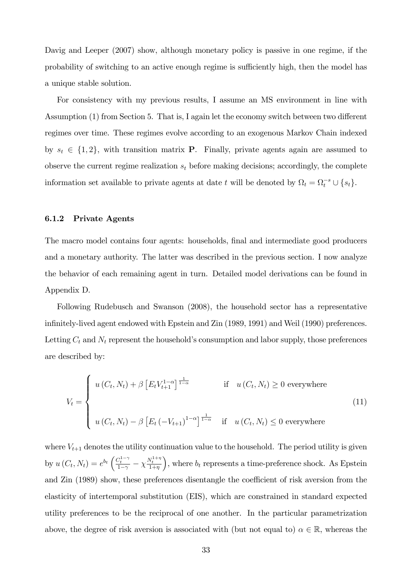Davig and Leeper (2007) show, although monetary policy is passive in one regime, if the probability of switching to an active enough regime is sufficiently high, then the model has a unique stable solution.

For consistency with my previous results, I assume an MS environment in line with Assumption  $(1)$  from Section 5. That is, I again let the economy switch between two different regimes over time. These regimes evolve according to an exogenous Markov Chain indexed by  $s_t \in \{1, 2\}$ , with transition matrix **P**. Finally, private agents again are assumed to observe the current regime realization  $s_t$  before making decisions; accordingly, the complete information set available to private agents at date t will be denoted by  $\Omega_t = \Omega_t^{-s} \cup \{s_t\}.$ 

#### 6.1.2 Private Agents

The macro model contains four agents: households, final and intermediate good producers and a monetary authority. The latter was described in the previous section. I now analyze the behavior of each remaining agent in turn. Detailed model derivations can be found in Appendix D.

Following Rudebusch and Swanson (2008), the household sector has a representative infinitely-lived agent endowed with Epstein and Zin (1989, 1991) and Weil (1990) preferences. Letting  $C_t$  and  $N_t$  represent the household's consumption and labor supply, those preferences are described by:

$$
V_t = \begin{cases} u(C_t, N_t) + \beta \left[ E_t V_{t+1}^{1-\alpha} \right]^{\frac{1}{1-\alpha}} & \text{if} \quad u(C_t, N_t) \ge 0 \text{ everywhere} \\ u(C_t, N_t) - \beta \left[ E_t \left( -V_{t+1} \right)^{1-\alpha} \right]^{\frac{1}{1-\alpha}} & \text{if} \quad u(C_t, N_t) \le 0 \text{ everywhere} \end{cases}
$$
(11)

where  $V_{t+1}$  denotes the utility continuation value to the household. The period utility is given by  $u(C_t, N_t) = e^{b_t} \left( \frac{C_t^{1-\gamma}}{1-\gamma} - \chi \frac{N_t^{1+\eta}}{1+\eta} \right)$ ), where  $b_t$  represents a time-preference shock. As Epstein and Zin (1989) show, these preferences disentangle the coefficient of risk aversion from the elasticity of intertemporal substitution (EIS), which are constrained in standard expected utility preferences to be the reciprocal of one another. In the particular parametrization above, the degree of risk aversion is associated with (but not equal to)  $\alpha \in \mathbb{R}$ , whereas the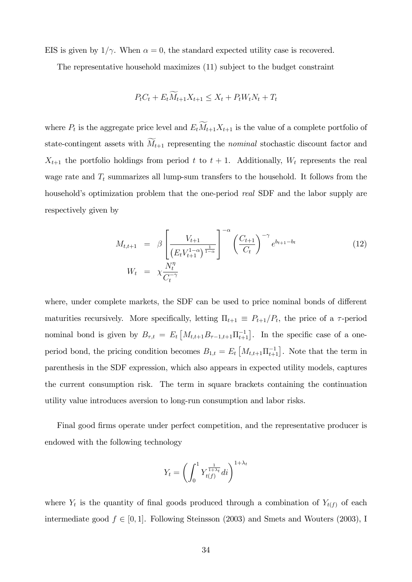EIS is given by  $1/\gamma$ . When  $\alpha = 0$ , the standard expected utility case is recovered.

The representative household maximizes (11) subject to the budget constraint

$$
P_t C_t + E_t \overline{M}_{t+1} X_{t+1} \le X_t + P_t W_t N_t + T_t
$$

where  $P_t$  is the aggregate price level and  $E_t M_{t+1} X_{t+1}$  is the value of a complete portfolio of state-contingent assets with  $M_{t+1}$  representing the nominal stochastic discount factor and  $X_{t+1}$  the portfolio holdings from period t to  $t + 1$ . Additionally,  $W_t$  represents the real wage rate and  $T_t$  summarizes all lump-sum transfers to the household. It follows from the household's optimization problem that the one-period *real* SDF and the labor supply are respectively given by

$$
M_{t,t+1} = \beta \left[ \frac{V_{t+1}}{(E_t V_{t+1}^{1-\alpha})^{\frac{1}{1-\alpha}}} \right]^{-\alpha} \left( \frac{C_{t+1}}{C_t} \right)^{-\gamma} e^{b_{t+1}-b_t}
$$
(12)  

$$
W_t = \chi \frac{N_t^{\eta}}{C_t^{-\gamma}}
$$

where, under complete markets, the SDF can be used to price nominal bonds of different maturities recursively. More specifically, letting  $\Pi_{t+1} \equiv P_{t+1}/P_t$ , the price of a  $\tau$ -period nominal bond is given by  $B_{\tau,t} = E_t \left[ M_{t,t+1} B_{\tau-1,t+1} \prod_{t+1}^{-1} \right]$ . In the specific case of a oneperiod bond, the pricing condition becomes  $B_{1,t} = E_t \left[ M_{t,t+1} \prod_{t+1}^{-1} \right]$ . Note that the term in parenthesis in the SDF expression, which also appears in expected utility models, captures the current consumption risk. The term in square brackets containing the continuation utility value introduces aversion to long-run consumption and labor risks.

Final good Örms operate under perfect competition, and the representative producer is endowed with the following technology

$$
Y_t = \left(\int_0^1 Y_{t(f)}^{\frac{1}{1+\lambda_t}} dt\right)^{1+\lambda_t}
$$

where  $Y_t$  is the quantity of final goods produced through a combination of  $Y_{t(f)}$  of each intermediate good  $f \in [0, 1]$ . Following Steinsson (2003) and Smets and Wouters (2003), I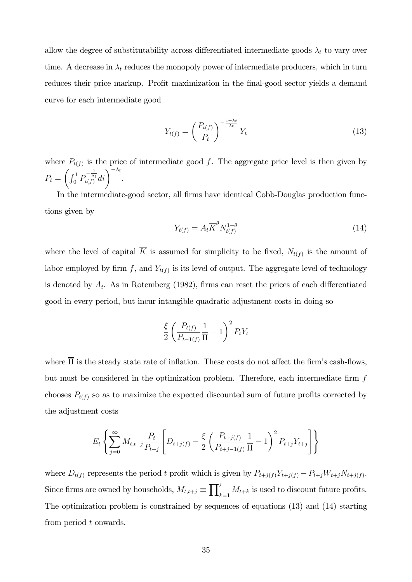allow the degree of substitutability across differentiated intermediate goods  $\lambda_t$  to vary over time. A decrease in  $\lambda_t$  reduces the monopoly power of intermediate producers, which in turn reduces their price markup. Profit maximization in the final-good sector yields a demand curve for each intermediate good

$$
Y_{t(f)} = \left(\frac{P_{t(f)}}{P_t}\right)^{-\frac{1+\lambda_t}{\lambda_t}} Y_t \tag{13}
$$

where  $P_{t(f)}$  is the price of intermediate good f. The aggregate price level is then given by  $P_t =$  $\left(\int_0^1 P_{t(f)}^{-\frac{1}{\lambda_t}}di\right)^{-\lambda_t}.$ 

In the intermediate-good sector, all firms have identical Cobb-Douglas production functions given by

$$
Y_{t(f)} = A_t \overline{K}^{\theta} N_{t(f)}^{1-\theta} \tag{14}
$$

where the level of capital K is assumed for simplicity to be fixed,  $N_{t(f)}$  is the amount of labor employed by firm f, and  $Y_{t(f)}$  is its level of output. The aggregate level of technology is denoted by  $A_t$ . As in Rotemberg (1982), firms can reset the prices of each differentiated good in every period, but incur intangible quadratic adjustment costs in doing so

$$
\frac{\xi}{2} \left( \frac{P_{t(f)}}{P_{t-1(f)}} \frac{1}{\overline{\Pi}} - 1 \right)^2 P_t Y_t
$$

where  $\overline{\Pi}$  is the steady state rate of inflation. These costs do not affect the firm's cash-flows, but must be considered in the optimization problem. Therefore, each intermediate firm  $f$ chooses  $P_{t(f)}$  so as to maximize the expected discounted sum of future profits corrected by the adjustment costs

$$
E_t \left\{ \sum_{j=0}^{\infty} M_{t,t+j} \frac{P_t}{P_{t+j}} \left[ D_{t+j(f)} - \frac{\xi}{2} \left( \frac{P_{t+j(f)}}{P_{t+j-1(f)}} \frac{1}{\overline{\Pi}} - 1 \right)^2 P_{t+j} Y_{t+j} \right] \right\}
$$

where  $D_{t(f)}$  represents the period t profit which is given by  $P_{t+j(f)}Y_{t+j(f)} - P_{t+j}W_{t+j}(f)$ . Since firms are owned by households,  $M_{t,t+j} \equiv \prod_k^j$  $\sum_{k=1}^{3} M_{t+k}$  is used to discount future profits. The optimization problem is constrained by sequences of equations (13) and (14) starting from period t onwards.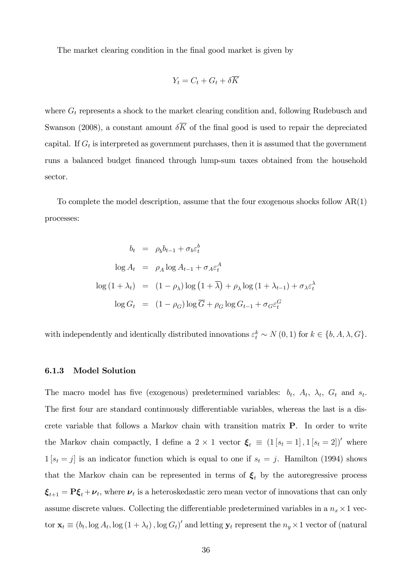The market clearing condition in the final good market is given by

$$
Y_t = C_t + G_t + \delta \overline{K}
$$

where  $G_t$  represents a shock to the market clearing condition and, following Rudebusch and Swanson (2008), a constant amount  $\delta \overline{K}$  of the final good is used to repair the depreciated capital. If  $G_t$  is interpreted as government purchases, then it is assumed that the government runs a balanced budget financed through lump-sum taxes obtained from the household sector.

To complete the model description, assume that the four exogenous shocks follow AR(1) processes:

$$
b_t = \rho_b b_{t-1} + \sigma_b \varepsilon_t^b
$$
  
\n
$$
\log A_t = \rho_A \log A_{t-1} + \sigma_A \varepsilon_t^A
$$
  
\n
$$
\log (1 + \lambda_t) = (1 - \rho_\lambda) \log (1 + \overline{\lambda}) + \rho_\lambda \log (1 + \lambda_{t-1}) + \sigma_\lambda \varepsilon_t^A
$$
  
\n
$$
\log G_t = (1 - \rho_G) \log \overline{G} + \rho_G \log G_{t-1} + \sigma_G \varepsilon_t^G
$$

with independently and identically distributed innovations  $\varepsilon_t^k \sim N(0, 1)$  for  $k \in \{b, A, \lambda, G\}$ .

#### 6.1.3 Model Solution

The macro model has five (exogenous) predetermined variables:  $b_t$ ,  $A_t$ ,  $\lambda_t$ ,  $G_t$  and  $s_t$ . The first four are standard continuously differentiable variables, whereas the last is a discrete variable that follows a Markov chain with transition matrix P. In order to write the Markov chain compactly, I define a  $2 \times 1$  vector  $\xi_t \equiv (1 [s_t = 1], 1 [s_t = 2])'$  where  $1[s_t = j]$  is an indicator function which is equal to one if  $s_t = j$ . Hamilton (1994) shows that the Markov chain can be represented in terms of  $\xi_t$  by the autoregressive process  $\boldsymbol{\xi}_{t+1} = \mathbf{P}\boldsymbol{\xi}_t + \boldsymbol{\nu}_t$ , where  $\boldsymbol{\nu}_t$  is a heteroskedastic zero mean vector of innovations that can only assume discrete values. Collecting the differentiable predetermined variables in a  $n_x \times 1$  vector  $\mathbf{x}_t \equiv (b_t, \log A_t, \log (1 + \lambda_t), \log G_t)$  and letting  $\mathbf{y}_t$  represent the  $n_y \times 1$  vector of (natural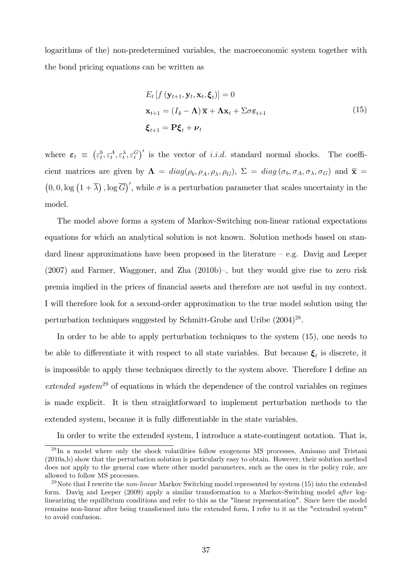logarithms of the) non-predetermined variables, the macroeconomic system together with the bond pricing equations can be written as

$$
E_t [f (\mathbf{y}_{t+1}, \mathbf{y}_t, \mathbf{x}_t, \boldsymbol{\xi}_t)] = 0
$$
  
\n
$$
\mathbf{x}_{t+1} = (I_4 - \mathbf{\Lambda}) \overline{\mathbf{x}} + \mathbf{\Lambda} \mathbf{x}_t + \Sigma \sigma \boldsymbol{\varepsilon}_{t+1}
$$
  
\n
$$
\boldsymbol{\xi}_{t+1} = \mathbf{P} \boldsymbol{\xi}_t + \boldsymbol{\nu}_t
$$
\n(15)

where  $\varepsilon_t \equiv (\varepsilon_t^b, \varepsilon_t^A, \varepsilon_t^A, \varepsilon_t^G)'$  is the vector of *i.i.d.* standard normal shocks. The coefficient matrices are given by  $\Lambda = diag(\rho_b, \rho_A, \rho_\lambda, \rho_G)$ ,  $\Sigma = diag(\sigma_b, \sigma_A, \sigma_\lambda, \sigma_G)$  and  $\overline{\mathbf{x}} =$  $(0,0,\log(1+\overline{\lambda}),\log\overline{G})'$ , while  $\sigma$  is a perturbation parameter that scales uncertainty in the model.

The model above forms a system of Markov-Switching non-linear rational expectations equations for which an analytical solution is not known. Solution methods based on standard linear approximations have been proposed in the literature  $-e.g.$  Davig and Leeper  $(2007)$  and Farmer, Waggoner, and Zha  $(2010b)$ , but they would give rise to zero risk premia implied in the prices of Önancial assets and therefore are not useful in my context. I will therefore look for a second-order approximation to the true model solution using the perturbation techniques suggested by Schmitt-Grohe and Uribe (2004)<sup>28</sup>.

In order to be able to apply perturbation techniques to the system (15), one needs to be able to differentiate it with respect to all state variables. But because  $\xi_t$  is discrete, it is impossible to apply these techniques directly to the system above. Therefore I define an  $extended\ system^{29}$  of equations in which the dependence of the control variables on regimes is made explicit. It is then straightforward to implement perturbation methods to the extended system, because it is fully differentiable in the state variables.

In order to write the extended system, I introduce a state-contingent notation. That is,

 $28 \text{In a model where only the shock volatilities follow exogenous MS processes, Amisano and Tristani}$ (2010a,b) show that the perturbation solution is particularly easy to obtain. However, their solution method does not apply to the general case where other model parameters, such as the ones in the policy rule, are allowed to follow MS processes.

<sup>&</sup>lt;sup>29</sup>Note that I rewrite the *non-linear* Markov Switching model represented by system (15) into the extended form. Davig and Leeper (2009) apply a similar transformation to a Markov-Switching model after loglinearizing the equilibrium conditions and refer to this as the "linear representation". Since here the model remains non-linear after being transformed into the extended form, I refer to it as the "extended system" to avoid confusion.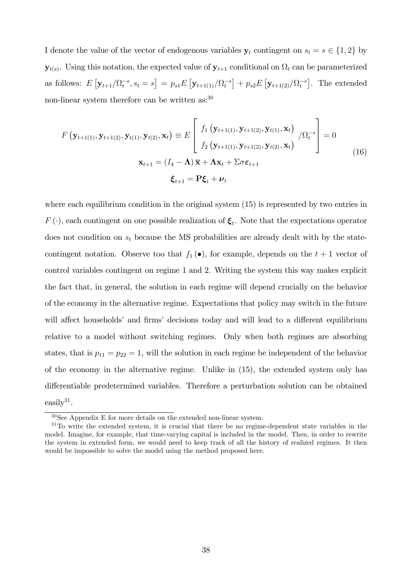I denote the value of the vector of endogenous variables  $y_t$  contingent on  $s_t = s \in \{1, 2\}$  by  $\mathbf{y}_{t(s)}$ . Using this notation, the expected value of  $\mathbf{y}_{t+1}$  conditional on  $\Omega_t$  can be parameterized as follows:  $E[y_{t+1}/\Omega_t^{-s}, s_t = s] = p_{s1}E[y_{t+1(1)}/\Omega_t^{-s}] + p_{s2}E[y_{t+1(2)}/\Omega_t^{-s}]$ . The extended non-linear system therefore can be written as:<sup>30</sup>

$$
F\left(\mathbf{y}_{t+1(1)}, \mathbf{y}_{t+1(2)}, \mathbf{y}_{t(1)}, \mathbf{y}_{t(2)}, \mathbf{x}_{t}\right) \equiv E\left[\begin{array}{c} f_{1}\left(\mathbf{y}_{t+1(1)}, \mathbf{y}_{t+1(2)}, \mathbf{y}_{t(1)}, \mathbf{x}_{t}\right) \\ f_{2}\left(\mathbf{y}_{t+1(1)}, \mathbf{y}_{t+1(2)}, \mathbf{y}_{t(2)}, \mathbf{x}_{t}\right) \end{array}\middle| 0\right] = 0
$$
\n
$$
\mathbf{x}_{t+1} = (I_{4} - \mathbf{\Lambda})\overline{\mathbf{x}} + \mathbf{\Lambda}\mathbf{x}_{t} + \Sigma\sigma\varepsilon_{t+1}
$$
\n
$$
\boldsymbol{\xi}_{t+1} = \mathbf{P}\boldsymbol{\xi}_{t} + \boldsymbol{\nu}_{t}
$$
\n(16)

where each equilibrium condition in the original system  $(15)$  is represented by two entries in  $F(\cdot)$ , each contingent on one possible realization of  $\xi_t$ . Note that the expectations operator does not condition on  $s_t$  because the MS probabilities are already dealt with by the statecontingent notation. Observe too that  $f_1(\bullet)$ , for example, depends on the  $t + 1$  vector of control variables contingent on regime 1 and 2. Writing the system this way makes explicit the fact that, in general, the solution in each regime will depend crucially on the behavior of the economy in the alternative regime. Expectations that policy may switch in the future will affect households' and firms' decisions today and will lead to a different equilibrium relative to a model without switching regimes. Only when both regimes are absorbing states, that is  $p_{11} = p_{22} = 1$ , will the solution in each regime be independent of the behavior of the economy in the alternative regime. Unlike in (15), the extended system only has differentiable predetermined variables. Therefore a perturbation solution can be obtained  $\text{easily}^{31}.$ 

 $30$ See Appendix E for more details on the extended non-linear system.

 $31$ To write the extended system, it is crucial that there be no regime-dependent state variables in the model. Imagine, for example, that time-varying capital is included in the model. Then, in order to rewrite the system in extended form, we would need to keep track of all the history of realized regimes. It then would be impossible to solve the model using the method proposed here.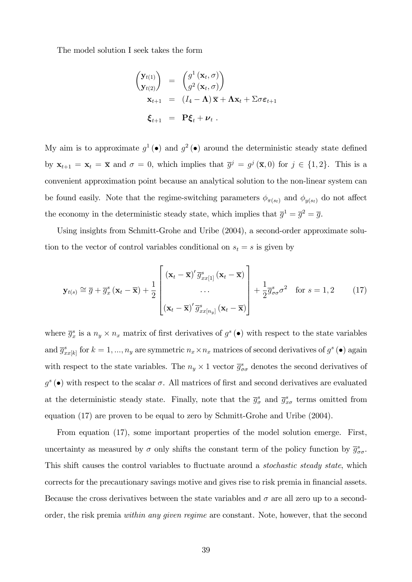The model solution I seek takes the form

$$
\begin{aligned}\n\begin{pmatrix}\n\mathbf{y}_{t(1)} \\
\mathbf{y}_{t(2)}\n\end{pmatrix} &= \begin{pmatrix}\ng^1(\mathbf{x}_t, \sigma) \\
g^2(\mathbf{x}_t, \sigma)\n\end{pmatrix} \\
\mathbf{x}_{t+1} &= (I_4 - \mathbf{\Lambda})\overline{\mathbf{x}} + \mathbf{\Lambda}\mathbf{x}_t + \Sigma\sigma\varepsilon_{t+1} \\
\boldsymbol{\xi}_{t+1} &= \mathbf{P}\boldsymbol{\xi}_t + \boldsymbol{\nu}_t .\n\end{aligned}
$$

My aim is to approximate  $g^1$  ( $\bullet$ ) and  $g^2$  ( $\bullet$ ) around the deterministic steady state defined by  $\mathbf{x}_{t+1} = \mathbf{x}_t = \overline{\mathbf{x}}$  and  $\sigma = 0$ , which implies that  $\overline{g}^j = g^j(\overline{\mathbf{x}}, 0)$  for  $j \in \{1, 2\}$ . This is a convenient approximation point because an analytical solution to the non-linear system can be found easily. Note that the regime-switching parameters  $\phi_{\pi(s_t)}$  and  $\phi_{y(s_t)}$  do not affect the economy in the deterministic steady state, which implies that  $\overline{g}^1 = \overline{g}^2 = \overline{g}$ .

Using insights from Schmitt-Grohe and Uribe (2004), a second-order approximate solution to the vector of control variables conditional on  $s_t = s$  is given by

$$
\mathbf{y}_{t(s)} \cong \overline{g} + \overline{g}_x^s \left( \mathbf{x}_t - \overline{\mathbf{x}} \right) + \frac{1}{2} \begin{bmatrix} \left( \mathbf{x}_t - \overline{\mathbf{x}} \right)^t \overline{g}_{xx[1]}^s \left( \mathbf{x}_t - \overline{\mathbf{x}} \right) \\ \cdots \\ \left( \mathbf{x}_t - \overline{\mathbf{x}} \right)^t \overline{g}_{xx[n_y]}^s \left( \mathbf{x}_t - \overline{\mathbf{x}} \right) \end{bmatrix} + \frac{1}{2} \overline{g}_{\sigma\sigma}^s \sigma^2 \quad \text{for } s = 1, 2 \quad (17)
$$

where  $\overline{g}_x^s$  is a  $n_y \times n_x$  matrix of first derivatives of  $g^s$  ( $\bullet$ ) with respect to the state variables and  $\overline{g}_{xx[k]}^s$  for  $k=1,...,n_y$  are symmetric  $n_x \times n_x$  matrices of second derivatives of  $g^s$  ( $\bullet$ ) again with respect to the state variables. The  $n_y \times 1$  vector  $\overline{g}_{\sigma\sigma}^s$  denotes the second derivatives of  $g^{s}(\bullet)$  with respect to the scalar  $\sigma$ . All matrices of first and second derivatives are evaluated at the deterministic steady state. Finally, note that the  $\bar{g}^s_\sigma$  and  $\bar{g}^s_{x\sigma}$  terms omitted from equation (17) are proven to be equal to zero by Schmitt-Grohe and Uribe (2004).

From equation (17), some important properties of the model solution emerge. First, uncertainty as measured by  $\sigma$  only shifts the constant term of the policy function by  $\bar{g}^s_{\sigma\sigma}$ . This shift causes the control variables to fluctuate around a *stochastic steady state*, which corrects for the precautionary savings motive and gives rise to risk premia in financial assets. Because the cross derivatives between the state variables and  $\sigma$  are all zero up to a secondorder, the risk premia within any given regime are constant. Note, however, that the second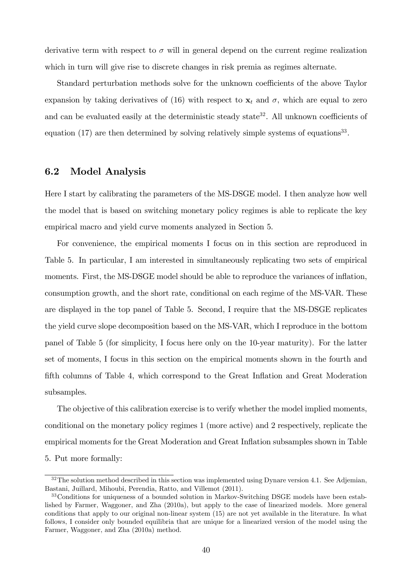derivative term with respect to  $\sigma$  will in general depend on the current regime realization which in turn will give rise to discrete changes in risk premia as regimes alternate.

Standard perturbation methods solve for the unknown coefficients of the above Taylor expansion by taking derivatives of (16) with respect to  $\mathbf{x}_t$  and  $\sigma$ , which are equal to zero and can be evaluated easily at the deterministic steady state<sup>32</sup>. All unknown coefficients of equation  $(17)$  are then determined by solving relatively simple systems of equations<sup>33</sup>.

#### 6.2 Model Analysis

Here I start by calibrating the parameters of the MS-DSGE model. I then analyze how well the model that is based on switching monetary policy regimes is able to replicate the key empirical macro and yield curve moments analyzed in Section 5.

For convenience, the empirical moments I focus on in this section are reproduced in Table 5. In particular, I am interested in simultaneously replicating two sets of empirical moments. First, the MS-DSGE model should be able to reproduce the variances of inflation, consumption growth, and the short rate, conditional on each regime of the MS-VAR. These are displayed in the top panel of Table 5. Second, I require that the MS-DSGE replicates the yield curve slope decomposition based on the MS-VAR, which I reproduce in the bottom panel of Table 5 (for simplicity, I focus here only on the 10-year maturity). For the latter set of moments, I focus in this section on the empirical moments shown in the fourth and fifth columns of Table 4, which correspond to the Great Inflation and Great Moderation subsamples.

The objective of this calibration exercise is to verify whether the model implied moments, conditional on the monetary policy regimes 1 (more active) and 2 respectively, replicate the empirical moments for the Great Moderation and Great Inflation subsamples shown in Table 5. Put more formally:

 $32$ The solution method described in this section was implemented using Dynare version 4.1. See Adjemian, Bastani, Juillard, Mihoubi, Perendia, Ratto, and Villemot (2011).

<sup>33</sup>Conditions for uniqueness of a bounded solution in Markov-Switching DSGE models have been established by Farmer, Waggoner, and Zha (2010a), but apply to the case of linearized models. More general conditions that apply to our original non-linear system (15) are not yet available in the literature. In what follows, I consider only bounded equilibria that are unique for a linearized version of the model using the Farmer, Waggoner, and Zha (2010a) method.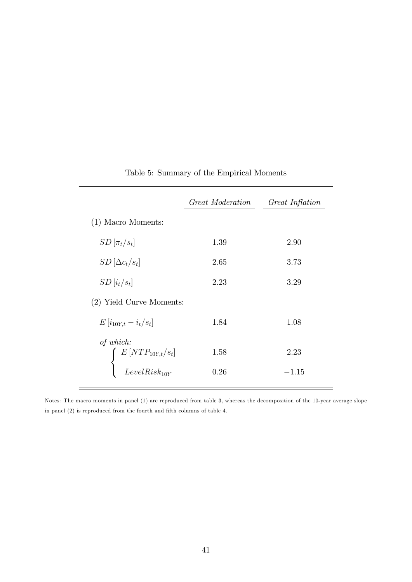|                                                                                                                       | Great Moderation | Great Inflation |
|-----------------------------------------------------------------------------------------------------------------------|------------------|-----------------|
| $(1)$ Macro Moments:                                                                                                  |                  |                 |
| $SD[\pi_t/s_t]$                                                                                                       | 1.39             | 2.90            |
| $SD[\Delta c_t/s_t]$                                                                                                  | 2.65             | 3.73            |
| $SD[i_t/s_t]$                                                                                                         | 2.23             | 3.29            |
| (2) Yield Curve Moments:                                                                                              |                  |                 |
| $E[i_{10Y,t} - i_t/s_t]$                                                                                              | 1.84             | 1.08            |
| of which:<br>$\left\{ \begin{array}{c} E\left[ NTP_{10Y,t}/s_t \right] \\ \text{LevelRisk}_{10Y} \end{array} \right.$ | 1.58             | 2.23            |
|                                                                                                                       | 0.26             | $-1.15$         |

### Table 5: Summary of the Empirical Moments

Notes: The macro moments in panel (1) are reproduced from table 3, whereas the decomposition of the 10-year average slope in panel  $(2)$  is reproduced from the fourth and fifth columns of table 4.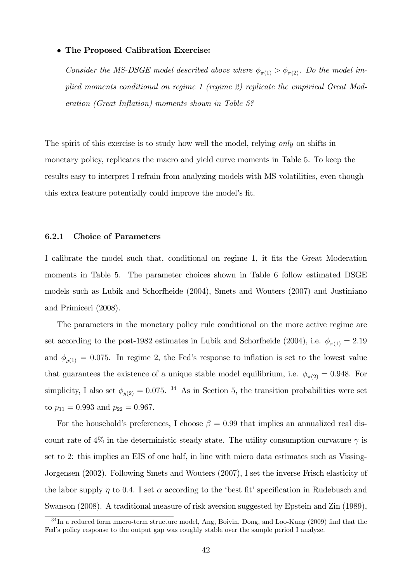#### The Proposed Calibration Exercise:

Consider the MS-DSGE model described above where  $\phi_{\pi(1)} > \phi_{\pi(2)}$ . Do the model implied moments conditional on regime 1 (regime 2) replicate the empirical Great Mod $eration (Great Inflation) moments shown in Table 5?$ 

The spirit of this exercise is to study how well the model, relying only on shifts in monetary policy, replicates the macro and yield curve moments in Table 5. To keep the results easy to interpret I refrain from analyzing models with MS volatilities, even though this extra feature potentially could improve the model's fit.

#### 6.2.1 Choice of Parameters

I calibrate the model such that, conditional on regime 1, it fits the Great Moderation moments in Table 5. The parameter choices shown in Table 6 follow estimated DSGE models such as Lubik and Schorfheide (2004), Smets and Wouters (2007) and Justiniano and Primiceri (2008).

The parameters in the monetary policy rule conditional on the more active regime are set according to the post-1982 estimates in Lubik and Schorfheide (2004), i.e.  $\phi_{\pi(1)} = 2.19$ and  $\phi_{y(1)} = 0.075$ . In regime 2, the Fed's response to inflation is set to the lowest value that guarantees the existence of a unique stable model equilibrium, i.e.  $\phi_{\pi(2)} = 0.948$ . For simplicity, I also set  $\phi_{y(2)} = 0.075$ . <sup>34</sup> As in Section 5, the transition probabilities were set to  $p_{11} = 0.993$  and  $p_{22} = 0.967$ .

For the household's preferences, I choose  $\beta = 0.99$  that implies an annualized real discount rate of 4% in the deterministic steady state. The utility consumption curvature  $\gamma$  is set to 2: this implies an EIS of one half, in line with micro data estimates such as Vissing-Jorgensen (2002). Following Smets and Wouters (2007), I set the inverse Frisch elasticity of the labor supply  $\eta$  to 0.4. I set  $\alpha$  according to the 'best fit' specification in Rudebusch and Swanson (2008). A traditional measure of risk aversion suggested by Epstein and Zin (1989),

 $34$  In a reduced form macro-term structure model, Ang, Boivin, Dong, and Loo-Kung (2009) find that the Fed's policy response to the output gap was roughly stable over the sample period I analyze.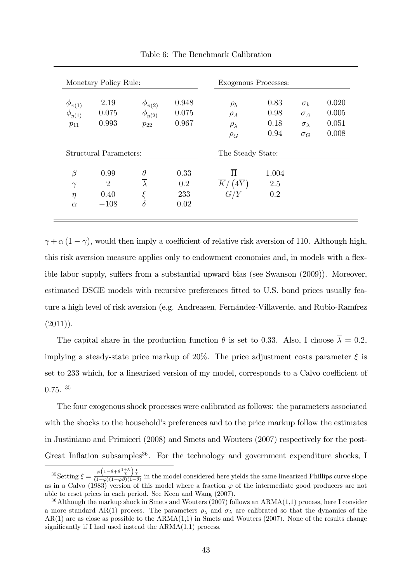|                                              | Monetary Policy Rule:                    |                                              |                            | <b>Exogenous Processes:</b>                          |                              |                                                              |                                  |
|----------------------------------------------|------------------------------------------|----------------------------------------------|----------------------------|------------------------------------------------------|------------------------------|--------------------------------------------------------------|----------------------------------|
| $\phi_{\pi(1)}$<br>$\phi_{y(1)}$<br>$p_{11}$ | 2.19<br>0.075<br>0.993                   | $\phi_{\pi(2)}$<br>$\phi_{y(2)}$<br>$p_{22}$ | 0.948<br>0.075<br>0.967    | $\rho_b$<br>$\rho_A$<br>$\rho_{\lambda}$<br>$\rho_G$ | 0.83<br>0.98<br>0.18<br>0.94 | $\sigma_b$<br>$\sigma_A$<br>$\sigma_{\lambda}$<br>$\sigma_G$ | 0.020<br>0.005<br>0.051<br>0.008 |
|                                              | Structural Parameters:                   |                                              |                            | The Steady State:                                    |                              |                                                              |                                  |
| $\beta$<br>$\gamma$<br>$\eta$<br>$\alpha$    | 0.99<br>$\overline{2}$<br>0.40<br>$-108$ | $\theta$<br>$\xi$<br>$\delta$                | 0.33<br>0.2<br>233<br>0.02 | $\overline{\Pi}$<br>K<br>(4Y                         | 1.004<br>2.5<br>0.2          |                                                              |                                  |

Table 6: The Benchmark Calibration

 $\gamma + \alpha (1 - \gamma)$ , would then imply a coefficient of relative risk aversion of 110. Although high, this risk aversion measure applies only to endowment economies and, in models with a flexible labor supply, suffers from a substantial upward bias (see Swanson  $(2009)$ ). Moreover, estimated DSGE models with recursive preferences fitted to U.S. bond prices usually feature a high level of risk aversion (e.g. Andreasen, Fernandez-Villaverde, and Rubio-Ramírez  $(2011)$ ).

 $\equiv$ 

The capital share in the production function  $\theta$  is set to 0.33. Also, I choose  $\overline{\lambda} = 0.2$ , implying a steady-state price markup of 20%. The price adjustment costs parameter  $\xi$  is set to 233 which, for a linearized version of my model, corresponds to a Calvo coefficient of  $0.75.$ <sup>35</sup>

The four exogenous shock processes were calibrated as follows: the parameters associated with the shocks to the household's preferences and to the price markup follow the estimates in Justiniano and Primiceri (2008) and Smets and Wouters (2007) respectively for the post-Great Inflation subsamples<sup>36</sup>. For the technology and government expenditure shocks, I

<sup>&</sup>lt;sup>35</sup>Setting  $\xi = \frac{\varphi\left(1-\theta+\theta\frac{1+\overline{\lambda}}{\overline{\lambda}}\right)\frac{1}{\overline{\lambda}}}{(1-\varphi)(1-\varphi\beta)(1-\theta)}$  in the model considered here yields the same linearized Phillips curve slope as in a Calvo (1983) version of this model where a fraction  $\varphi$  of the intermediate good producers are not able to reset prices in each period. See Keen and Wang (2007).

 $36$ Although the markup shock in Smets and Wouters (2007) follows an ARMA(1,1) process, here I consider a more standard AR(1) process. The parameters  $\rho_{\lambda}$  and  $\sigma_{\lambda}$  are calibrated so that the dynamics of the  $AR(1)$  are as close as possible to the  $ARMA(1,1)$  in Smets and Wouters (2007). None of the results change significantly if I had used instead the  $ARMA(1,1)$  process.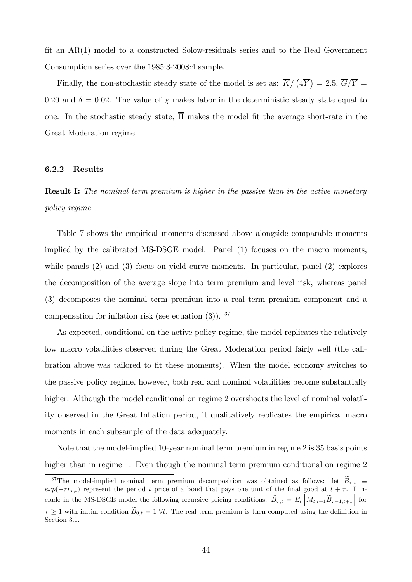fit an  $AR(1)$  model to a constructed Solow-residuals series and to the Real Government Consumption series over the 1985:3-2008:4 sample.

Finally, the non-stochastic steady state of the model is set as:  $\overline{K}/(\sqrt{4Y}) = 2.5$ ,  $\overline{G}/\overline{Y} =$ 0.20 and  $\delta = 0.02$ . The value of  $\chi$  makes labor in the deterministic steady state equal to one. In the stochastic steady state,  $\overline{\Pi}$  makes the model fit the average short-rate in the Great Moderation regime.

#### 6.2.2 Results

**Result I:** The nominal term premium is higher in the passive than in the active monetary policy regime.

Table 7 shows the empirical moments discussed above alongside comparable moments implied by the calibrated MS-DSGE model. Panel (1) focuses on the macro moments, while panels (2) and (3) focus on yield curve moments. In particular, panel (2) explores the decomposition of the average slope into term premium and level risk, whereas panel (3) decomposes the nominal term premium into a real term premium component and a compensation for inflation risk (see equation  $(3)$ ). <sup>37</sup>

As expected, conditional on the active policy regime, the model replicates the relatively low macro volatilities observed during the Great Moderation period fairly well (the calibration above was tailored to fit these moments). When the model economy switches to the passive policy regime, however, both real and nominal volatilities become substantially higher. Although the model conditional on regime 2 overshoots the level of nominal volatility observed in the Great Inflation period, it qualitatively replicates the empirical macro moments in each subsample of the data adequately.

Note that the model-implied 10-year nominal term premium in regime 2 is 35 basis points higher than in regime 1. Even though the nominal term premium conditional on regime 2

<sup>&</sup>lt;sup>37</sup>The model-implied nominal term premium decomposition was obtained as follows: let  $\widetilde{B}_{\tau,t}$  $exp(-\tau r_{\tau,t})$  represent the period t price of a bond that pays one unit of the final good at  $t + \tau$ . I include in the MS-DSGE model the following recursive pricing conditions:  $\widetilde{B}_{\tau,t} = E_t \left[ M_{t,t+1} \widetilde{B}_{\tau-1,t+1} \right]$  for  $\tau \geq 1$  with initial condition  $\widetilde{B}_{0,t} = 1 \forall t$ . The real term premium is then computed using the definition in Section 3.1.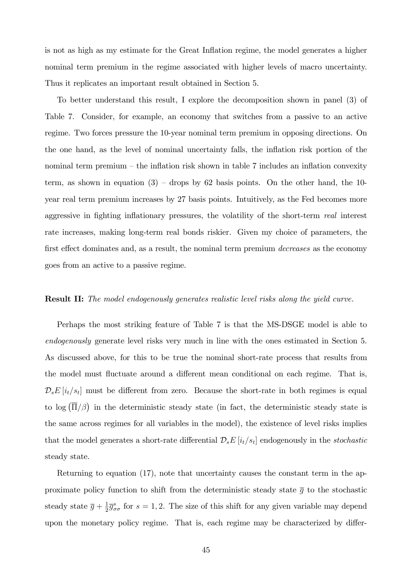is not as high as my estimate for the Great Inflation regime, the model generates a higher nominal term premium in the regime associated with higher levels of macro uncertainty. Thus it replicates an important result obtained in Section 5.

To better understand this result, I explore the decomposition shown in panel (3) of Table 7. Consider, for example, an economy that switches from a passive to an active regime. Two forces pressure the 10-year nominal term premium in opposing directions. On the one hand, as the level of nominal uncertainty falls, the inflation risk portion of the nominal term premium  $-$  the inflation risk shown in table 7 includes an inflation convexity term, as shown in equation  $(3)$  – drops by 62 basis points. On the other hand, the 10year real term premium increases by 27 basis points. Intuitively, as the Fed becomes more aggressive in fighting inflationary pressures, the volatility of the short-term real interest rate increases, making long-term real bonds riskier. Given my choice of parameters, the first effect dominates and, as a result, the nominal term premium *decreases* as the economy goes from an active to a passive regime.

#### **Result II:** The model endogenously generates realistic level risks along the yield curve.

Perhaps the most striking feature of Table 7 is that the MS-DSGE model is able to endogenously generate level risks very much in line with the ones estimated in Section 5. As discussed above, for this to be true the nominal short-rate process that results from the model must fluctuate around a different mean conditional on each regime. That is,  $\mathcal{D}_s E[i_t/s_t]$  must be different from zero. Because the short-rate in both regimes is equal to log  $(\overline{\Pi}/\beta)$  in the deterministic steady state (in fact, the deterministic steady state is the same across regimes for all variables in the model), the existence of level risks implies that the model generates a short-rate differential  $\mathcal{D}_s E[i_t/s_t]$  endogenously in the *stochastic* steady state.

Returning to equation (17), note that uncertainty causes the constant term in the approximate policy function to shift from the deterministic steady state  $\bar{q}$  to the stochastic steady state  $\overline{g} + \frac{1}{2}$  $\frac{1}{2}\overline{g}_{\sigma\sigma}^{s}$  for  $s=1,2$ . The size of this shift for any given variable may depend upon the monetary policy regime. That is, each regime may be characterized by differ-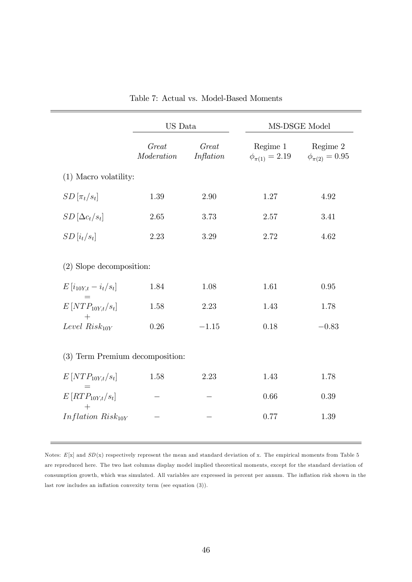|                                          | US Data              |                    | MS-DSGE Model                                             |          |  |  |
|------------------------------------------|----------------------|--------------------|-----------------------------------------------------------|----------|--|--|
|                                          | Great<br>Modernation | Great<br>Inflation | Regime 1<br>$\phi_{\pi(1)} = 2.19$ $\phi_{\pi(2)} = 0.95$ | Regime 2 |  |  |
| $(1)$ Macro volatility:                  |                      |                    |                                                           |          |  |  |
| $SD[\pi_t/s_t]$                          | 1.39                 | 2.90               | 1.27                                                      | 4.92     |  |  |
| $SD\left[\Delta c_t/s_t\right]$          | 2.65                 | 3.73               | 2.57                                                      | 3.41     |  |  |
| $SD[i_t/s_t]$                            | 2.23                 | 3.29               | 2.72                                                      | 4.62     |  |  |
| (2) Slope decomposition:                 |                      |                    |                                                           |          |  |  |
| $E[i_{10Y,t} - i_t/s_t]$                 | 1.84                 | 1.08               | 1.61                                                      | 0.95     |  |  |
| $E\left[NTP_{10Y,t}/s_t\right]$<br>$+$   | 1.58                 | 2.23               | 1.43                                                      | 1.78     |  |  |
| Level $Risk_{10Y}$                       | 0.26                 | $-1.15$            | 0.18                                                      | $-0.83$  |  |  |
| (3) Term Premium decomposition:          |                      |                    |                                                           |          |  |  |
| $E[NTP_{10Y,t}/s_t]$                     | 1.58                 | 2.23               | 1.43                                                      | 1.78     |  |  |
| $=$<br>$E\left[ RTP_{10Y,t}/s_t \right]$ |                      |                    | 0.66                                                      | 0.39     |  |  |
| Inflation $Risk_{10Y}$                   |                      |                    | 0.77                                                      | 1.39     |  |  |

Table 7: Actual vs. Model-Based Moments

Notes:  $E[x]$  and  $SD(x)$  respectively represent the mean and standard deviation of x. The empirical moments from Table 5 are reproduced here. The two last columns display model implied theoretical moments, except for the standard deviation of consumption growth, which was simulated. All variables are expressed in percent per annum. The inflation risk shown in the last row includes an inflation convexity term (see equation  $(3)$ ).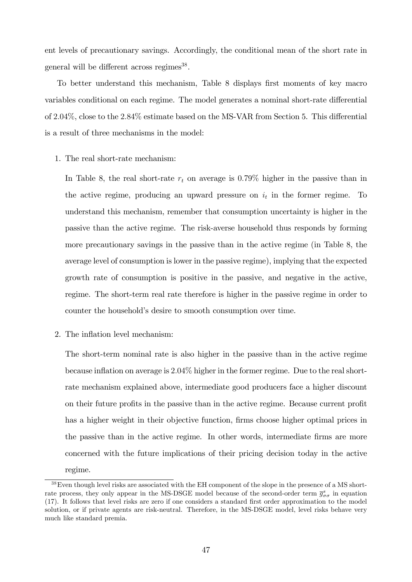ent levels of precautionary savings. Accordingly, the conditional mean of the short rate in general will be different across regimes<sup>38</sup>.

To better understand this mechanism, Table 8 displays first moments of key macro variables conditional on each regime. The model generates a nominal short-rate differential of 2.04%, close to the  $2.84\%$  estimate based on the MS-VAR from Section 5. This differential is a result of three mechanisms in the model:

1. The real short-rate mechanism:

In Table 8, the real short-rate  $r_t$  on average is 0.79% higher in the passive than in the active regime, producing an upward pressure on  $i_t$  in the former regime. To understand this mechanism, remember that consumption uncertainty is higher in the passive than the active regime. The risk-averse household thus responds by forming more precautionary savings in the passive than in the active regime (in Table 8, the average level of consumption is lower in the passive regime), implying that the expected growth rate of consumption is positive in the passive, and negative in the active, regime. The short-term real rate therefore is higher in the passive regime in order to counter the household's desire to smooth consumption over time.

2. The inflation level mechanism:

The short-term nominal rate is also higher in the passive than in the active regime because inflation on average is  $2.04\%$  higher in the former regime. Due to the real shortrate mechanism explained above, intermediate good producers face a higher discount on their future profits in the passive than in the active regime. Because current profit has a higher weight in their objective function, firms choose higher optimal prices in the passive than in the active regime. In other words, intermediate firms are more concerned with the future implications of their pricing decision today in the active regime.

<sup>38</sup>Even though level risks are associated with the EH component of the slope in the presence of a MS shortrate process, they only appear in the MS-DSGE model because of the second-order term  $\bar{g}^s_{\sigma\sigma}$  in equation (17). It follows that level risks are zero if one considers a standard Örst order approximation to the model solution, or if private agents are risk-neutral. Therefore, in the MS-DSGE model, level risks behave very much like standard premia.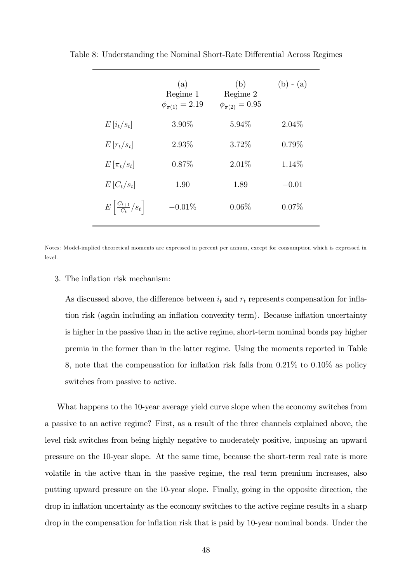|                                         | (a)<br>Regime 1<br>$\phi_{\pi(1)} = 2.19$ | (b)<br>Regime 2<br>$\phi_{\pi(2)} = 0.95$ | $(b) - (a)$ |
|-----------------------------------------|-------------------------------------------|-------------------------------------------|-------------|
| $E[i_t/s_t]$                            | $3.90\%$                                  | $5.94\%$                                  | 2.04\%      |
| $E[r_t/s_t]$                            | 2.93%                                     | 3.72\%                                    | $0.79\%$    |
| $E[\pi_t/s_t]$                          | $0.87\%$                                  | $2.01\%$                                  | 1.14\%      |
| $E[C_t/s_t]$                            | 1.90                                      | 1.89                                      | $-0.01$     |
| $E\left \frac{C_{t+1}}{C_t}/s_t\right $ | $-0.01\%$                                 | $0.06\%$                                  | 0.07%       |

Table 8: Understanding the Nominal Short-Rate Differential Across Regimes

Notes: Model-implied theoretical moments are expressed in percent per annum, except for consumption which is expressed in level.

#### 3. The inflation risk mechanism:

As discussed above, the difference between  $i_t$  and  $r_t$  represents compensation for inflation risk (again including an inflation convexity term). Because inflation uncertainty is higher in the passive than in the active regime, short-term nominal bonds pay higher premia in the former than in the latter regime. Using the moments reported in Table 8, note that the compensation for inflation risk falls from  $0.21\%$  to  $0.10\%$  as policy switches from passive to active.

What happens to the 10-year average yield curve slope when the economy switches from a passive to an active regime? First, as a result of the three channels explained above, the level risk switches from being highly negative to moderately positive, imposing an upward pressure on the 10-year slope. At the same time, because the short-term real rate is more volatile in the active than in the passive regime, the real term premium increases, also putting upward pressure on the 10-year slope. Finally, going in the opposite direction, the drop in inflation uncertainty as the economy switches to the active regime results in a sharp drop in the compensation for inflation risk that is paid by 10-year nominal bonds. Under the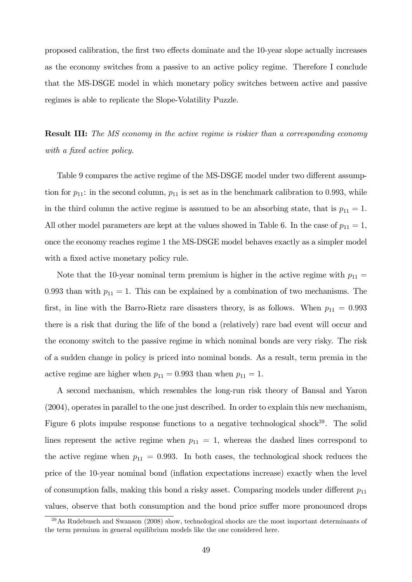proposed calibration, the first two effects dominate and the 10-year slope actually increases as the economy switches from a passive to an active policy regime. Therefore I conclude that the MS-DSGE model in which monetary policy switches between active and passive regimes is able to replicate the Slope-Volatility Puzzle.

**Result III:** The MS economy in the active regime is riskier than a corresponding economy with a fixed active policy.

Table 9 compares the active regime of the MS-DSGE model under two different assumption for  $p_{11}$ : in the second column,  $p_{11}$  is set as in the benchmark calibration to 0.993, while in the third column the active regime is assumed to be an absorbing state, that is  $p_{11} = 1$ . All other model parameters are kept at the values showed in Table 6. In the case of  $p_{11} = 1$ , once the economy reaches regime 1 the MS-DSGE model behaves exactly as a simpler model with a fixed active monetary policy rule.

Note that the 10-year nominal term premium is higher in the active regime with  $p_{11} =$ 0.993 than with  $p_{11} = 1$ . This can be explained by a combination of two mechanisms. The first, in line with the Barro-Rietz rare disasters theory, is as follows. When  $p_{11} = 0.993$ there is a risk that during the life of the bond a (relatively) rare bad event will occur and the economy switch to the passive regime in which nominal bonds are very risky. The risk of a sudden change in policy is priced into nominal bonds. As a result, term premia in the active regime are higher when  $p_{11} = 0.993$  than when  $p_{11} = 1$ .

A second mechanism, which resembles the long-run risk theory of Bansal and Yaron (2004), operates in parallel to the one just described. In order to explain this new mechanism, Figure 6 plots impulse response functions to a negative technological shock $39$ . The solid lines represent the active regime when  $p_{11} = 1$ , whereas the dashed lines correspond to the active regime when  $p_{11} = 0.993$ . In both cases, the technological shock reduces the price of the 10-year nominal bond (ináation expectations increase) exactly when the level of consumption falls, making this bond a risky asset. Comparing models under different  $p_{11}$ values, observe that both consumption and the bond price suffer more pronounced drops

<sup>&</sup>lt;sup>39</sup>As Rudebusch and Swanson (2008) show, technological shocks are the most important determinants of the term premium in general equilibrium models like the one considered here.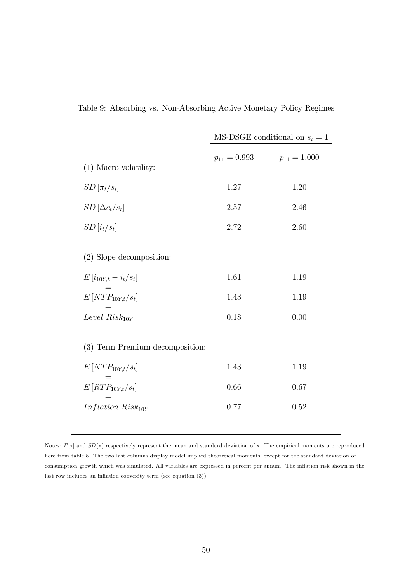|                                 | MS-DSGE conditional on $s_t = 1$ |                  |  |
|---------------------------------|----------------------------------|------------------|--|
| $(1)$ Macro volatility:         | $p_{11} = 0.993$                 | $p_{11} = 1.000$ |  |
| $SD[\pi_t/s_t]$                 | 1.27                             | 1.20             |  |
| $SD[\Delta c_t/s_t]$            | 2.57                             | 2.46             |  |
| $SD[i_t/s_t]$                   | 2.72                             | 2.60             |  |
| (2) Slope decomposition:        |                                  |                  |  |
| $E[i_{10Y,t} - i_t/s_t]$        | 1.61                             | 1.19             |  |
| $E[NTP_{10Y,t}/s_t]$            | 1.43                             | 1.19             |  |
| Level $Risk_{10Y}$              | 0.18                             | 0.00             |  |
| (3) Term Premium decomposition: |                                  |                  |  |
| $E[NTP_{10Y,t}/s_t]$            | 1.43                             | 1.19             |  |
| $E[RTP_{10Y,t}/s_t]$            | 0.66                             | 0.67             |  |
| Inflation $Risk_{10Y}$          | 0.77                             | 0.52             |  |

Table 9: Absorbing vs. Non-Absorbing Active Monetary Policy Regimes

 $\frac{1}{2}$ 

Notes:  $E[x]$  and  $SD(x)$  respectively represent the mean and standard deviation of x. The empirical moments are reproduced here from table 5. The two last columns display model implied theoretical moments, except for the standard deviation of consumption growth which was simulated. All variables are expressed in percent per annum. The ináation risk shown in the last row includes an inflation convexity term (see equation  $(3)$ ).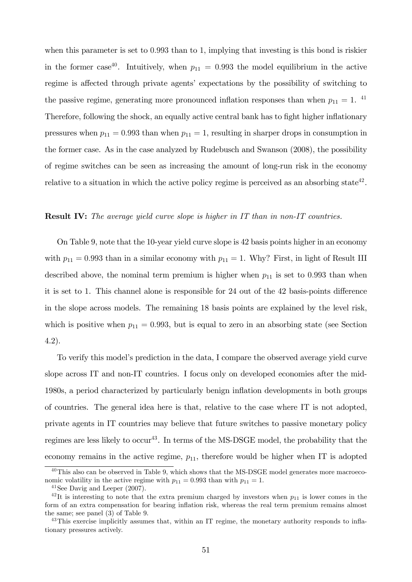when this parameter is set to 0.993 than to 1, implying that investing is this bond is riskier in the former case<sup>40</sup>. Intuitively, when  $p_{11} = 0.993$  the model equilibrium in the active regime is affected through private agents' expectations by the possibility of switching to the passive regime, generating more pronounced inflation responses than when  $p_{11} = 1$ . <sup>41</sup> Therefore, following the shock, an equally active central bank has to fight higher inflationary pressures when  $p_{11} = 0.993$  than when  $p_{11} = 1$ , resulting in sharper drops in consumption in the former case. As in the case analyzed by Rudebusch and Swanson (2008), the possibility of regime switches can be seen as increasing the amount of long-run risk in the economy relative to a situation in which the active policy regime is perceived as an absorbing state<sup>42</sup>.

#### **Result IV:** The average yield curve slope is higher in IT than in non-IT countries.

On Table 9, note that the 10-year yield curve slope is 42 basis points higher in an economy with  $p_{11} = 0.993$  than in a similar economy with  $p_{11} = 1$ . Why? First, in light of Result III described above, the nominal term premium is higher when  $p_{11}$  is set to 0.993 than when it is set to 1. This channel alone is responsible for 24 out of the 42 basis-points difference in the slope across models. The remaining 18 basis points are explained by the level risk, which is positive when  $p_{11} = 0.993$ , but is equal to zero in an absorbing state (see Section 4.2).

To verify this model's prediction in the data, I compare the observed average yield curve slope across IT and non-IT countries. I focus only on developed economies after the mid-1980s, a period characterized by particularly benign ináation developments in both groups of countries. The general idea here is that, relative to the case where IT is not adopted, private agents in IT countries may believe that future switches to passive monetary policy regimes are less likely to occur<sup>43</sup>. In terms of the MS-DSGE model, the probability that the economy remains in the active regime,  $p_{11}$ , therefore would be higher when IT is adopted

 $^{40}$ This also can be observed in Table 9, which shows that the MS-DSGE model generates more macroeconomic volatility in the active regime with  $p_{11} = 0.993$  than with  $p_{11} = 1$ .

<sup>41</sup>See Davig and Leeper (2007).

<sup>&</sup>lt;sup>42</sup>It is interesting to note that the extra premium charged by investors when  $p_{11}$  is lower comes in the form of an extra compensation for bearing inflation risk, whereas the real term premium remains almost the same; see panel (3) of Table 9.

<sup>&</sup>lt;sup>43</sup>This exercise implicitly assumes that, within an IT regime, the monetary authority responds to inflationary pressures actively.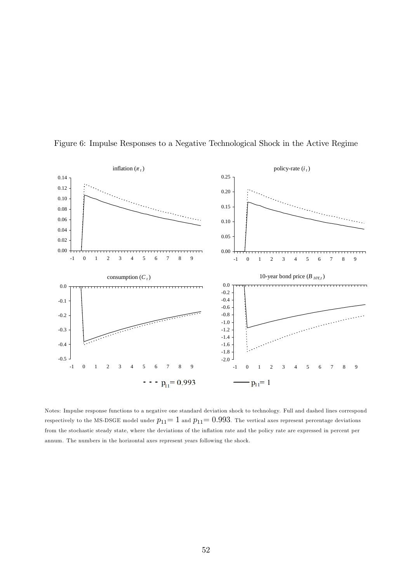

Figure 6: Impulse Responses to a Negative Technological Shock in the Active Regime

Notes: Impulse response functions to a negative one standard deviation shock to technology. Full and dashed lines correspond respectively to the MS-DSGE model under  $p_{11}= 1$  and  $p_{11}= 0.993$ . The vertical axes represent percentage deviations from the stochastic steady state, where the deviations of the inflation rate and the policy rate are expressed in percent per annum. The numbers in the horizontal axes represent years following the shock.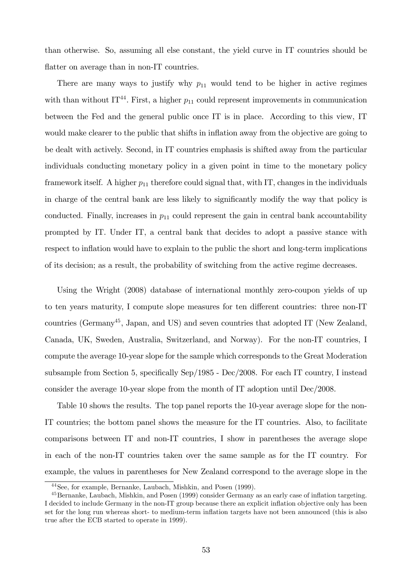than otherwise. So, assuming all else constant, the yield curve in IT countries should be flatter on average than in non-IT countries.

There are many ways to justify why  $p_{11}$  would tend to be higher in active regimes with than without IT<sup>44</sup>. First, a higher  $p_{11}$  could represent improvements in communication between the Fed and the general public once IT is in place. According to this view, IT would make clearer to the public that shifts in inflation away from the objective are going to be dealt with actively. Second, in IT countries emphasis is shifted away from the particular individuals conducting monetary policy in a given point in time to the monetary policy framework itself. A higher  $p_{11}$  therefore could signal that, with IT, changes in the individuals in charge of the central bank are less likely to significantly modify the way that policy is conducted. Finally, increases in  $p_{11}$  could represent the gain in central bank accountability prompted by IT. Under IT, a central bank that decides to adopt a passive stance with respect to inflation would have to explain to the public the short and long-term implications of its decision; as a result, the probability of switching from the active regime decreases.

Using the Wright (2008) database of international monthly zero-coupon yields of up to ten years maturity, I compute slope measures for ten different countries: three non-IT countries (Germany<sup>45</sup>, Japan, and US) and seven countries that adopted IT (New Zealand, Canada, UK, Sweden, Australia, Switzerland, and Norway). For the non-IT countries, I compute the average 10-year slope for the sample which corresponds to the Great Moderation subsample from Section 5, specifically Sep/1985 -  $Dec/2008$ . For each IT country, I instead consider the average 10-year slope from the month of IT adoption until Dec/2008.

Table 10 shows the results. The top panel reports the 10-year average slope for the non-IT countries; the bottom panel shows the measure for the IT countries. Also, to facilitate comparisons between IT and non-IT countries, I show in parentheses the average slope in each of the non-IT countries taken over the same sample as for the IT country. For example, the values in parentheses for New Zealand correspond to the average slope in the

<sup>44</sup>See, for example, Bernanke, Laubach, Mishkin, and Posen (1999).

<sup>&</sup>lt;sup>45</sup>Bernanke, Laubach, Mishkin, and Posen (1999) consider Germany as an early case of inflation targeting. I decided to include Germany in the non-IT group because there an explicit ináation objective only has been set for the long run whereas short- to medium-term inflation targets have not been announced (this is also true after the ECB started to operate in 1999).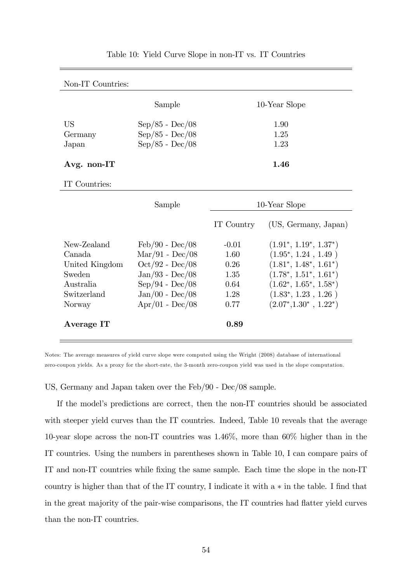| Non-IT Countries:      |                                                                                                               |                      |  |
|------------------------|---------------------------------------------------------------------------------------------------------------|----------------------|--|
|                        | Sample                                                                                                        | 10-Year Slope        |  |
| US<br>Germany<br>Japan | $\rm Sep/85$ - $\rm Dec/08$<br>$\mathrm{Sep}/85$ - $\mathrm{Dec}/08$<br>$\mathrm{Sep}/85$ - $\mathrm{Dec}/08$ | 1.90<br>1.25<br>1.23 |  |
| Avg. non-IT            |                                                                                                               | 1.46                 |  |

#### Table 10: Yield Curve Slope in non-IT vs. IT Countries

#### IT Countries:

|                                                                                          | Sample                                                                                                                                                                                                  | 10-Year Slope                                           |                                                                                                                                                                                                        |  |
|------------------------------------------------------------------------------------------|---------------------------------------------------------------------------------------------------------------------------------------------------------------------------------------------------------|---------------------------------------------------------|--------------------------------------------------------------------------------------------------------------------------------------------------------------------------------------------------------|--|
|                                                                                          |                                                                                                                                                                                                         | IT Country                                              | (US, Germany, Japan)                                                                                                                                                                                   |  |
| New-Zealand<br>Canada.<br>United Kingdom<br>Sweden<br>Australia<br>Switzerland<br>Norway | $\text{Feb}/90$ - $\text{Dec}/08$<br>$\text{Mar}/91 - \text{Dec}/08$<br>$Oct/92$ - $Dec/08$<br>$Jan/93 - Dec/08$<br>$\rm Sep/94$ - $\rm Dec/08$<br>$Jan/00$ - $Dec/08$<br>$\rm{Apr}/01$ - $\rm{Dec}/08$ | $-0.01$<br>1.60<br>0.26<br>1.35<br>0.64<br>1.28<br>0.77 | $(1.91^*, 1.19^*, 1.37^*)$<br>$(1.95^*, 1.24, 1.49)$<br>$(1.81^*, 1.48^*, 1.61^*)$<br>$(1.78^*, 1.51^*, 1.61^*)$<br>$(1.62^*, 1.65^*, 1.58^*)$<br>$(1.83^*, 1.23, 1.26)$<br>$(2.07^*, 1.30^*, 1.22^*)$ |  |
| Average IT                                                                               |                                                                                                                                                                                                         | 0.89                                                    |                                                                                                                                                                                                        |  |

Notes: The average measures of yield curve slope were computed using the Wright (2008) database of international zero-coupon yields. As a proxy for the short-rate, the 3-month zero-coupon yield was used in the slope computation.

US, Germany and Japan taken over the Feb/90 - Dec/08 sample.

If the model's predictions are correct, then the non-IT countries should be associated with steeper yield curves than the IT countries. Indeed, Table 10 reveals that the average 10-year slope across the non-IT countries was 1.46%, more than 60% higher than in the IT countries. Using the numbers in parentheses shown in Table 10, I can compare pairs of IT and non-IT countries while Öxing the same sample. Each time the slope in the non-IT country is higher than that of the IT country, I indicate it with  $a * in$  the table. I find that in the great majority of the pair-wise comparisons, the IT countries had flatter yield curves than the non-IT countries.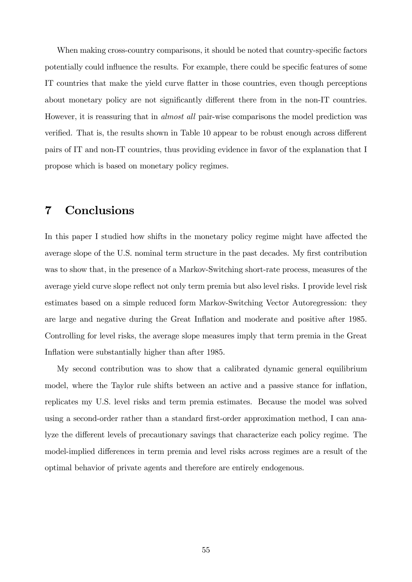When making cross-country comparisons, it should be noted that country-specific factors potentially could influence the results. For example, there could be specific features of some IT countries that make the yield curve flatter in those countries, even though perceptions about monetary policy are not significantly different there from in the non-IT countries. However, it is reassuring that in almost all pair-wise comparisons the model prediction was verified. That is, the results shown in Table 10 appear to be robust enough across different pairs of IT and non-IT countries, thus providing evidence in favor of the explanation that I propose which is based on monetary policy regimes.

## 7 Conclusions

In this paper I studied how shifts in the monetary policy regime might have affected the average slope of the U.S. nominal term structure in the past decades. My first contribution was to show that, in the presence of a Markov-Switching short-rate process, measures of the average yield curve slope reflect not only term premia but also level risks. I provide level risk estimates based on a simple reduced form Markov-Switching Vector Autoregression: they are large and negative during the Great Inflation and moderate and positive after 1985. Controlling for level risks, the average slope measures imply that term premia in the Great Inflation were substantially higher than after 1985.

My second contribution was to show that a calibrated dynamic general equilibrium model, where the Taylor rule shifts between an active and a passive stance for inflation, replicates my U.S. level risks and term premia estimates. Because the model was solved using a second-order rather than a standard first-order approximation method, I can analyze the different levels of precautionary savings that characterize each policy regime. The model-implied differences in term premia and level risks across regimes are a result of the optimal behavior of private agents and therefore are entirely endogenous.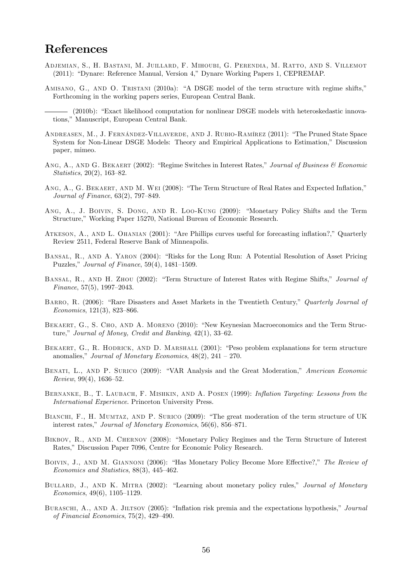## References

- Adjemian, S., H. Bastani, M. Juillard, F. Mihoubi, G. Perendia, M. Ratto, and S. Villemot (2011): "Dynare: Reference Manual, Version 4," Dynare Working Papers 1, CEPREMAP.
- AMISANO, G., AND O. TRISTANI (2010a): "A DSGE model of the term structure with regime shifts," Forthcoming in the working papers series, European Central Bank.

- ANDREASEN, M., J. FERNÁNDEZ-VILLAVERDE, AND J. RUBIO-RAMÍREZ (2011): "The Pruned State Space System for Non-Linear DSGE Models: Theory and Empirical Applications to Estimation," Discussion paper, mimeo.
- ANG, A., AND G. BEKAERT (2002): "Regime Switches in Interest Rates," Journal of Business  $\mathcal C$  Economic Statistics,  $20(2)$ ,  $163-82$ .
- ANG, A., G. BEKAERT, AND M. WEI (2008): "The Term Structure of Real Rates and Expected Inflation," Journal of Finance,  $63(2)$ ,  $797-849$ .
- ANG, A., J. BOIVIN, S. DONG, AND R. LOO-KUNG (2009): "Monetary Policy Shifts and the Term Structure," Working Paper 15270, National Bureau of Economic Research.
- ATKESON, A., AND L. OHANIAN (2001): "Are Phillips curves useful for forecasting inflation?," Quarterly Review 2511, Federal Reserve Bank of Minneapolis.
- BANSAL, R., AND A. YARON (2004): "Risks for the Long Run: A Potential Resolution of Asset Pricing Puzzles," Journal of Finance,  $59(4)$ ,  $1481-1509$ .
- BANSAL, R., AND H. ZHOU (2002): "Term Structure of Interest Rates with Regime Shifts," Journal of Finance,  $57(5)$ ,  $1997-2043$ .
- BARRO, R. (2006): "Rare Disasters and Asset Markets in the Twentieth Century," Quarterly Journal of  $Economics, 121(3), 823-866.$
- BEKAERT, G., S. CHO, AND A. MORENO (2010): "New Keynesian Macroeconomics and the Term Structure," Journal of Money, Credit and Banking,  $42(1)$ ,  $33-62$ .
- BEKAERT, G., R. HODRICK, AND D. MARSHALL (2001): "Peso problem explanations for term structure anomalies," Journal of Monetary Economics,  $48(2)$ ,  $241 - 270$ .
- BENATI, L., AND P. SURICO (2009): "VAR Analysis and the Great Moderation," American Economic  $Review, 99(4), 1636-52.$
- BERNANKE, B., T. LAUBACH, F. MISHKIN, AND A. POSEN (1999): Inflation Targeting: Lessons from the International Experience. Princeton University Press.
- BIANCHI, F., H. MUMTAZ, AND P. SURICO (2009): "The great moderation of the term structure of UK interest rates," Journal of Monetary Economics,  $56(6)$ ,  $856-871$ .
- BIKBOV, R., AND M. CHERNOV (2008): "Monetary Policy Regimes and the Term Structure of Interest Rates," Discussion Paper 7096, Centre for Economic Policy Research.
- BOIVIN, J., AND M. GIANNONI (2006): "Has Monetary Policy Become More Effective?," The Review of Economics and Statistics,  $88(3)$ ,  $445-462$ .
- BULLARD, J., AND K. MITRA (2002): "Learning about monetary policy rules," Journal of Monetary  $Economics, 49(6), 1105–1129.$
- BURASCHI, A., AND A. JILTSOV (2005): "Inflation risk premia and the expectations hypothesis," Journal of Financial Economics,  $75(2)$ ,  $429-490$ .

<sup>(2010</sup>b): "Exact likelihood computation for nonlinear DSGE models with heteroskedastic innovations," Manuscript, European Central Bank.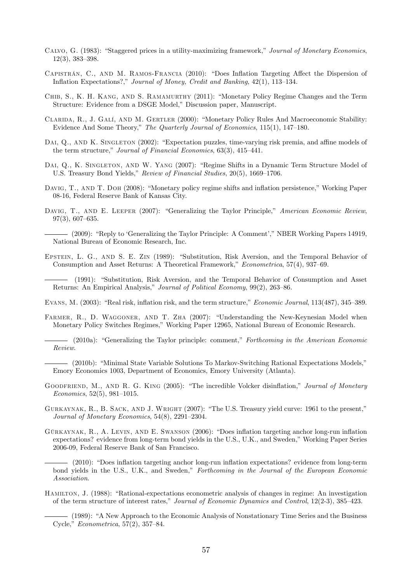- CALVO, G. (1983): "Staggered prices in a utility-maximizing framework," Journal of Monetary Economics,  $12(3)$ ,  $383-398$ .
- CAPISTRÁN, C., AND M. RAMOS-FRANCIA (2010): "Does Inflation Targeting Affect the Dispersion of Inflation Expectations?," Journal of Money, Credit and Banking, 42(1), 113-134.
- CHIB, S., K. H. KANG, AND S. RAMAMURTHY (2011): "Monetary Policy Regime Changes and the Term Structure: Evidence from a DSGE Model," Discussion paper, Manuscript.
- CLARIDA, R., J. GALÍ, AND M. GERTLER (2000): "Monetary Policy Rules And Macroeconomic Stability: Evidence And Some Theory," The Quarterly Journal of Economics, 115(1), 147-180.
- DAI, Q., AND K. SINGLETON (2002): "Expectation puzzles, time-varying risk premia, and affine models of the term structure," Journal of Financial Economics,  $63(3)$ ,  $415-441$ .
- DAI, Q., K. SINGLETON, AND W. YANG (2007): "Regime Shifts in a Dynamic Term Structure Model of U.S. Treasury Bond Yields," Review of Financial Studies, 20(5), 1669–1706.
- DAVIG, T., AND T. DOH (2008): "Monetary policy regime shifts and inflation persistence," Working Paper 08-16, Federal Reserve Bank of Kansas City.
- DAVIG, T., AND E. LEEPER (2007): "Generalizing the Taylor Principle," American Economic Review,  $97(3)$ , 607-635.

(2009): "Reply to 'Generalizing the Taylor Principle: A Comment'," NBER Working Papers 14919, National Bureau of Economic Research, Inc.

EPSTEIN, L. G., AND S. E. ZIN (1989): "Substitution, Risk Aversion, and the Temporal Behavior of Consumption and Asset Returns: A Theoretical Framework," Econometrica, 57(4), 937–69.

(1991): "Substitution, Risk Aversion, and the Temporal Behavior of Consumption and Asset Returns: An Empirical Analysis," Journal of Political Economy, 99(2), 263-86.

- EVANS, M. (2003): "Real risk, inflation risk, and the term structure," Economic Journal, 113(487), 345–389.
- FARMER, R., D. WAGGONER, AND T. ZHA (2007): "Understanding the New-Keynesian Model when Monetary Policy Switches Regimes," Working Paper 12965, National Bureau of Economic Research.
	- (2010a): "Generalizing the Taylor principle: comment," Forthcoming in the American Economic Review.

- (2010b): "Minimal State Variable Solutions To Markov-Switching Rational Expectations Models," Emory Economics 1003, Department of Economics, Emory University (Atlanta).

- GOODFRIEND, M., AND R. G. KING (2005): "The incredible Volcker disinflation," Journal of Monetary  $Economics, 52(5), 981-1015.$
- GURKAYNAK, R., B. SACK, AND J. WRIGHT (2007): "The U.S. Treasury yield curve: 1961 to the present," Journal of Monetary Economics,  $54(8)$ ,  $2291-2304$ .
- GÜRKAYNAK, R., A. LEVIN, AND E. SWANSON (2006): "Does inflation targeting anchor long-run inflation expectations? evidence from long-term bond yields in the U.S., U.K., and Sweden," Working Paper Series 2006-09, Federal Reserve Bank of San Francisco.
	- (2010): "Does inflation targeting anchor long-run inflation expectations? evidence from long-term bond yields in the U.S., U.K., and Sweden," Forthcoming in the Journal of the European Economic Association.
- HAMILTON, J. (1988): "Rational-expectations econometric analysis of changes in regime: An investigation of the term structure of interest rates," Journal of Economic Dynamics and Control, 12(2-3), 385–423.

<sup>– (1989): &</sup>quot;A New Approach to the Economic Analysis of Nonstationary Time Series and the Business Cycle,"  $Econometrica$ , 57(2), 357-84.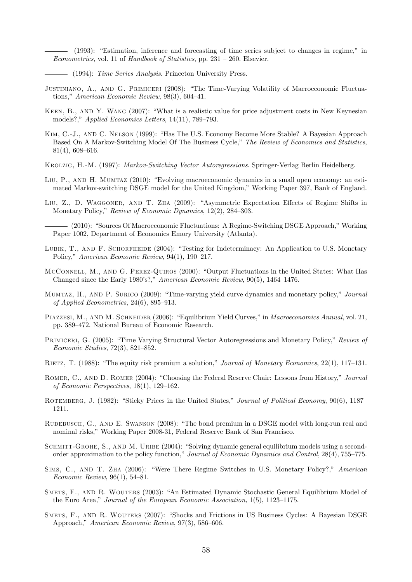(1993): "Estimation, inference and forecasting of time series subject to changes in regime," in Econometrics, vol. 11 of Handbook of Statistics, pp.  $231 - 260$ . Elsevier.

- (1994): Time Series Analysis. Princeton University Press.

- JUSTINIANO, A., AND G. PRIMICERI (2008): "The Time-Varying Volatility of Macroeconomic Fluctuations," American Economic Review,  $98(3)$ ,  $604-41$ .
- KEEN, B., AND Y. WANG (2007): "What is a realistic value for price adjustment costs in New Keynesian models?," Applied Economics Letters,  $14(11)$ , 789–793.
- KIM, C.-J., AND C. NELSON (1999): "Has The U.S. Economy Become More Stable? A Bayesian Approach Based On A Markov-Switching Model Of The Business Cycle," The Review of Economics and Statistics,  $81(4)$ , 608–616.
- Krolzig, H.-M. (1997): Markov-Switching Vector Autoregressions. Springer-Verlag Berlin Heidelberg.
- LIU, P., AND H. MUMTAZ (2010): "Evolving macroeconomic dynamics in a small open economy: an estimated Markov-switching DSGE model for the United Kingdom," Working Paper 397, Bank of England.
- LIU, Z., D. WAGGONER, AND T. ZHA (2009): "Asymmetric Expectation Effects of Regime Shifts in Monetary Policy," Review of Economic Dynamics,  $12(2)$ ,  $284-303$ .
	- (2010): "Sources Of Macroeconomic Fluctuations: A Regime-Switching DSGE Approach," Working Paper 1002, Department of Economics Emory University (Atlanta).
- LUBIK, T., AND F. SCHORFHEIDE (2004): "Testing for Indeterminacy: An Application to U.S. Monetary Policy," American Economic Review, 94(1), 190-217.
- MCCONNELL, M., AND G. PEREZ-QUIROS (2000): "Output Fluctuations in the United States: What Has Changed since the Early 1980's?," American Economic Review,  $90(5)$ , 1464-1476.
- MUMTAZ, H., AND P. SURICO (2009): "Time-varying yield curve dynamics and monetary policy," Journal of Applied Econometrics,  $24(6)$ , 895–913.
- PIAZZESI, M., AND M. SCHNEIDER (2006): "Equilibrium Yield Curves," in Macroeconomics Annual, vol. 21, pp. 389–472. National Bureau of Economic Research.
- PRIMICERI, G. (2005): "Time Varying Structural Vector Autoregressions and Monetary Policy," Review of Economic Studies,  $72(3)$ ,  $821-852$ .
- RIETZ, T. (1988): "The equity risk premium a solution," Journal of Monetary Economics, 22(1), 117-131.
- ROMER, C., AND D. ROMER (2004): "Choosing the Federal Reserve Chair: Lessons from History," Journal of Economic Perspectives,  $18(1)$ ,  $129-162$ .
- ROTEMBERG, J. (1982): "Sticky Prices in the United States," Journal of Political Economy, 90(6), 1187 1211.
- RUDEBUSCH, G., AND E. SWANSON (2008): "The bond premium in a DSGE model with long-run real and nominal risks," Working Paper 2008-31, Federal Reserve Bank of San Francisco.
- SCHMITT-GROHE, S., AND M. URIBE (2004): "Solving dynamic general equilibrium models using a secondorder approximation to the policy function," Journal of Economic Dynamics and Control, 28(4), 755–775.
- SIMS, C., AND T. ZHA (2006): "Were There Regime Switches in U.S. Monetary Policy?," American Economic Review,  $96(1)$ , 54–81.
- SMETS, F., AND R. WOUTERS (2003): "An Estimated Dynamic Stochastic General Equilibrium Model of the Euro Area," Journal of the European Economic Association,  $1(5)$ ,  $1123-1175$ .
- SMETS, F., AND R. WOUTERS (2007): "Shocks and Frictions in US Business Cycles: A Bayesian DSGE Approach," American Economic Review, 97(3), 586–606.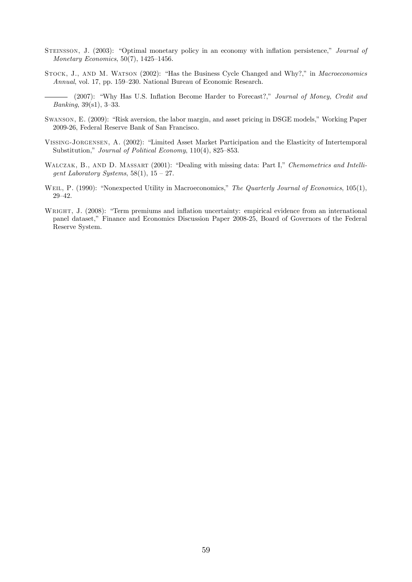- STEINSSON, J. (2003): "Optimal monetary policy in an economy with inflation persistence," Journal of Monetary Economics,  $50(7)$ ,  $1425-1456$ .
- STOCK, J., AND M. WATSON (2002): "Has the Business Cycle Changed and Why?," in Macroeconomics Annual, vol. 17, pp. 159–230. National Bureau of Economic Research.

- (2007): "Why Has U.S. Inflation Become Harder to Forecast?," Journal of Money, Credit and *Banking*,  $39(s1)$ ,  $3-33$ .

- SWANSON, E. (2009): "Risk aversion, the labor margin, and asset pricing in DSGE models," Working Paper 2009-26, Federal Reserve Bank of San Francisco.
- VISSING-JORGENSEN, A. (2002): "Limited Asset Market Participation and the Elasticity of Intertemporal Substitution," Journal of Political Economy,  $110(4)$ , 825–853.
- WALCZAK, B., AND D. MASSART (2001): "Dealing with missing data: Part I," Chemometrics and Intelligent Laboratory Systems,  $58(1)$ ,  $15 - 27$ .
- WEIL, P. (1990): "Nonexpected Utility in Macroeconomics," The Quarterly Journal of Economics, 105(1),  $29 - 42.$
- WRIGHT, J. (2008): "Term premiums and inflation uncertainty: empirical evidence from an international panel dataset," Finance and Economics Discussion Paper 2008-25, Board of Governors of the Federal Reserve System.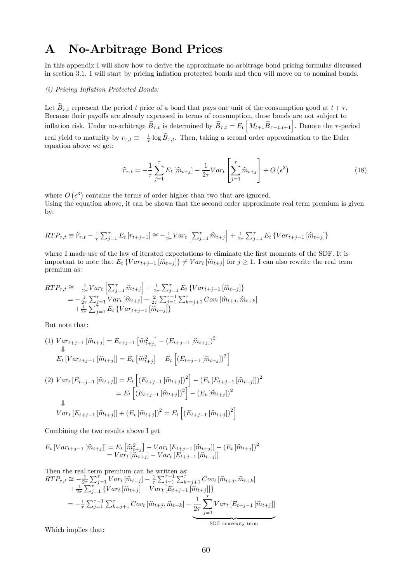## A No-Arbitrage Bond Prices

In this appendix I will show how to derive the approximate no-arbitrage bond pricing formulas discussed in section 3.1. I will start by pricing ináation protected bonds and then will move on to nominal bonds.

#### $(i)$  Pricing Inflation Protected Bonds:

Let  $\widetilde{B}_{\tau,t}$  represent the period t price of a bond that pays one unit of the consumption good at  $t + \tau$ . Because their payoffs are already expressed in terms of consumption, these bonds are not subject to inflation risk. Under no-arbitrage  $\widetilde{B}_{\tau,t}$  is determined by  $\widetilde{B}_{\tau,t} = E_t \left[ M_{t+1} \widetilde{B}_{\tau-1,t+1} \right]$ . Denote the  $\tau$ -period real yield to maturity by  $r_{\tau,t} \equiv -\frac{1}{\tau} \log \tilde{B}_{\tau,t}$ . Then, taking a second order approximation to the Euler equation above we get:

$$
\widehat{r}_{\tau,t} = -\frac{1}{\tau} \sum_{j=1}^{\tau} E_t \left[ \widehat{m}_{t+j} \right] - \frac{1}{2\tau} Var_t \left[ \sum_{j=1}^{\tau} \widehat{m}_{t+j} \right] + O\left(\epsilon^3\right)
$$
\n(18)

where  $O(\epsilon^3)$  contains the terms of order higher than two that are ignored. Using the equation above, it can be shown that the second order approximate real term premium is given by:

$$
RTP_{\tau,t} \equiv \hat{r}_{\tau,t} - \frac{1}{\tau} \sum_{j=1}^{\tau} E_t \left[ r_{t+j-1} \right] \approx -\frac{1}{2\tau} Var_t \left[ \sum_{j=1}^{\tau} \hat{m}_{t+j} \right] + \frac{1}{2\tau} \sum_{j=1}^{\tau} E_t \left\{ Var_{t+j-1} \left[ \hat{m}_{t+j} \right] \right\}
$$

where I made use of the law of iterated expectations to eliminate the first moments of the SDF. It is important to note that  $E_t \{Var_{t+j-1}[\hat{m}_{t+j}]\}\neq Var_t[\hat{m}_{t+j}]$  for  $j \geq 1$ . I can also rewrite the real term premium as:

$$
RTP_{\tau,t} \cong -\frac{1}{2\tau}Var_t \left[ \sum_{j=1}^{\tau} \widehat{m}_{t+j} \right] + \frac{1}{2\tau} \sum_{j=1}^{\tau} E_t \left\{ Var_{t+j-1} \left[ \widehat{m}_{t+j} \right] \right\}
$$
  

$$
= -\frac{1}{2\tau} \sum_{j=1}^{\tau} Var_t \left[ \widehat{m}_{t+j} \right] - \frac{2}{2\tau} \sum_{j=1}^{\tau-1} \sum_{k=j+1}^{\tau} Cov_t \left[ \widehat{m}_{t+j}, \widehat{m}_{t+k} \right]
$$
  

$$
+ \frac{1}{2\tau} \sum_{j=1}^{\tau} E_t \left\{ Var_{t+j-1} \left[ \widehat{m}_{t+j} \right] \right\}
$$

But note that:

$$
(1) \ Var_{t+j-1}[\widehat{m}_{t+j}] = E_{t+j-1}[\widehat{m}_{t+j}^2] - (E_{t+j-1}[\widehat{m}_{t+j}])^2
$$
  
\n
$$
\downarrow \qquad E_t \left[Var_{t+j-1}[\widehat{m}_{t+j}]\right] = E_t \left[\widehat{m}_{t+j}^2\right] - E_t \left[ (E_{t+j-1}[\widehat{m}_{t+j}])^2 \right]
$$
  
\n
$$
(2) \ Var_t \left[ E_{t+j-1}[\widehat{m}_{t+j}] \right] = E_t \left[ (E_{t+j-1}[\widehat{m}_{t+j}])^2 \right] - (E_t \left[ E_{t+j-1}[\widehat{m}_{t+j}] \right])^2
$$
  
\n
$$
\downarrow
$$
  
\n
$$
Var \left[ E \right] = \widehat{E}_t \left[ (E_{t+j-1}[\widehat{m}_{t+j}])^2 - (E_t \left[ \widehat{m}_{t+j} \right])^2 \right]
$$

$$
Var_t [E_{t+j-1} [\hat{m}_{t+j}]] + (E_t [\hat{m}_{t+j}])^2 = E_t [(E_{t+j-1} [\hat{m}_{t+j}])^2]
$$

Combining the two results above I get

$$
E_t \left[ Var_{t+j-1} \left[ \widehat{m}_{t+j} \right] \right] = E_t \left[ \widehat{m}_{t+j}^2 \right] - Var_t \left[ E_{t+j-1} \left[ \widehat{m}_{t+j} \right] \right] - \left( E_t \left[ \widehat{m}_{t+j} \right] \right)^2
$$
  
=  $Var_t \left[ \widehat{m}_{t+j} \right] - Var_t \left[ E_{t+j-1} \left[ \widehat{m}_{t+j} \right] \right]$ 

Then the real term premium can be written as:  
\n
$$
RTP_{\tau,t} \cong -\frac{1}{2\tau} \sum_{j=1}^{\tau} Var_t \left[ \hat{m}_{t+j} \right] - \frac{1}{\tau} \sum_{j=1}^{\tau-1} \sum_{k=j+1}^{\tau} Cov_t \left[ \hat{m}_{t+j}, \hat{m}_{t+k} \right] + \frac{1}{2\tau} \sum_{j=1}^{\tau} \left\{ Var_t \left[ \hat{m}_{t+j} \right] - Var_t \left[ E_{t+j-1} \left[ \hat{m}_{t+j} \right] \right] \right\}
$$
\n
$$
= -\frac{1}{\tau} \sum_{j=1}^{\tau-1} \sum_{k=j+1}^{\tau} Cov_t \left[ \hat{m}_{t+j}, \hat{m}_{t+k} \right] - \underbrace{\frac{1}{2\tau} \sum_{j=1}^{\tau} Var_t \left[ E_{t+j-1} \left[ \hat{m}_{t+j} \right] \right]}_{\text{SDF convexity term}}
$$

Which implies that: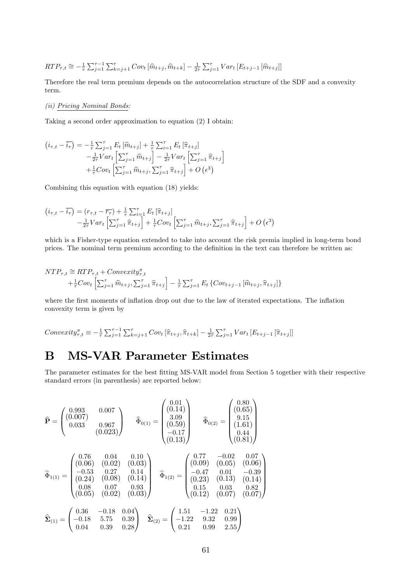$$
RTP_{\tau,t} \cong -\frac{1}{\tau} \sum_{j=1}^{\tau-1} \sum_{k=j+1}^{\tau} Cov_t [\hat{m}_{t+j}, \hat{m}_{t+k}] - \frac{1}{2\tau} \sum_{j=1}^{\tau} Var_t [E_{t+j-1} [\hat{m}_{t+j}]]
$$

Therefore the real term premium depends on the autocorrelation structure of the SDF and a convexity term.

#### (ii) Pricing Nominal Bonds:

Taking a second order approximation to equation (2) I obtain:

$$
(i_{\tau,t} - \overline{i_{\tau}}) = -\frac{1}{\tau} \sum_{j=1}^{\tau} E_t [\hat{m}_{t+j}] + \frac{1}{\tau} \sum_{i=1}^{\tau} E_t [\hat{\pi}_{t+j}] -\frac{1}{2\tau} Var_t \left[ \sum_{j=1}^{\tau} \hat{m}_{t+j} \right] - \frac{1}{2\tau} Var_t \left[ \sum_{j=1}^{\tau} \hat{\pi}_{t+j} \right] + \frac{1}{\tau} Cov_t \left[ \sum_{j=1}^{\tau} \hat{m}_{t+j}, \sum_{j=1}^{\tau} \hat{\pi}_{t+j} \right] + O\left(\epsilon^3\right)
$$

Combining this equation with equation (18) yields:

$$
(i_{\tau,t} - \overline{i_{\tau}}) = (r_{\tau,t} - \overline{r_{\tau}}) + \frac{1}{\tau} \sum_{i=1}^{\tau} E_t \left[ \widehat{\pi}_{t+j} \right]
$$
  

$$
- \frac{1}{2\tau} Var_t \left[ \sum_{j=1}^{\tau} \widehat{\pi}_{t+j} \right] + \frac{1}{\tau} Cov_t \left[ \sum_{j=1}^{\tau} \widehat{m}_{t+j}, \sum_{j=1}^{\tau} \widehat{\pi}_{t+j} \right] + O \left( \epsilon^3 \right)
$$

which is a Fisher-type equation extended to take into account the risk premia implied in long-term bond prices. The nominal term premium according to the definition in the text can therefore be written as:

$$
NTP_{\tau,t} \cong RTP_{\tau,t} + Convexity_{\tau,t}^{\pi}
$$
  
+ $\frac{1}{\tau}Cov_t \left[ \sum_{j=1}^{\tau} \hat{m}_{t+j}, \sum_{j=1}^{\tau} \hat{\pi}_{t+j} \right] - \frac{1}{\tau} \sum_{j=1}^{\tau} E_t \left\{ Cov_{t+j-1} \left[ \hat{m}_{t+j}, \hat{\pi}_{t+j} \right] \right\}$ 

where the first moments of inflation drop out due to the law of iterated expectations. The inflation convexity term is given by

$$
Convexity_{\tau,t}^{\pi} \equiv -\frac{1}{\tau} \sum_{j=1}^{\tau-1} \sum_{k=j+1}^{\tau} Cov_t \left[ \hat{\pi}_{t+j}, \hat{\pi}_{t+k} \right] - \frac{1}{2\tau} \sum_{j=1}^{\tau} Var_t \left[ E_{t+j-1} \left[ \hat{\pi}_{t+j} \right] \right]
$$

## B MS-VAR Parameter Estimates

The parameter estimates for the best fitting MS-VAR model from Section 5 together with their respective standard errors (in parenthesis) are reported below:

$$
\hat{\mathbf{P}} = \begin{pmatrix}\n0.993 & 0.007 \\
0.007 & 0.007 \\
0.033 & 0.967 \\
0.023\n\end{pmatrix} \qquad \hat{\Phi}_{0(1)} = \begin{pmatrix}\n0.01 \\
0.14 \\
3.09 \\
-0.17 \\
-0.17 \\
0.13\n\end{pmatrix} \qquad \hat{\Phi}_{0(2)} = \begin{pmatrix}\n0.80 \\
0.15 \\
9.15 \\
0.44 \\
0.44 \\
0.81\n\end{pmatrix}
$$
\n
$$
\hat{\Phi}_{1(1)} = \begin{pmatrix}\n0.76 & 0.04 & 0.10 \\
0.06 & 0.02 & 0.03 \\
-0.53 & 0.27 & 0.14 \\
0.24 & 0.08 & 0.07 & 0.93 \\
0.08 & 0.07 & 0.93 \\
0.05 & 0.02 & 0.03\n\end{pmatrix} \qquad \hat{\Phi}_{1(2)} = \begin{pmatrix}\n0.77 & -0.02 & 0.07 \\
0.09 & 0.05 & 0.06 \\
-0.47 & 0.01 & -0.39 \\
0.15 & 0.03 & 0.82 \\
0.15 & 0.03 & 0.82 \\
0.04 & 0.39 & 0.28\n\end{pmatrix}
$$
\n
$$
\hat{\Sigma}_{(1)} = \begin{pmatrix}\n0.36 & -0.18 & 0.04 \\
-0.18 & 5.75 & 0.39 \\
0.04 & 0.39 & 0.28\n\end{pmatrix} \qquad \hat{\Sigma}_{(2)} = \begin{pmatrix}\n1.51 & -1.22 & 0.21 \\
-1.22 & 9.32 & 0.99 \\
0.21 & 0.99 & 2.55\n\end{pmatrix}
$$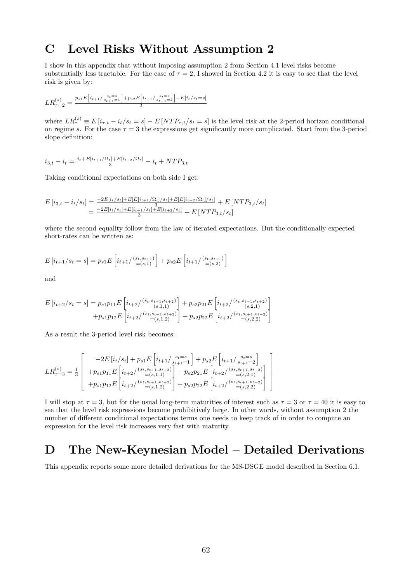## C Level Risks Without Assumption 2

I show in this appendix that without imposing assumption 2 from Section 4.1 level risks become substantially less tractable. For the case of  $\tau = 2$ . I showed in Section 4.2 it is easy to see that the level risk is given by:

$$
LR_{\tau=2}^{(s)} = \frac{p_{s1}E[i_{t+1}/\frac{s_t=s}{s_{t+1}-1}]+p_{s2}E[i_{t+1}/\frac{s_t=s}{s_{t+1}-2}]-E[i_t/s_t=s]}{2}
$$

where  $LR_{\tau}^{(s)} \equiv E[i_{\tau,t} - i_t/s_t = s] - E[NTP_{\tau,t}/s_t = s]$  is the level risk at the 2-period horizon conditional on regime s. For the case  $\tau = 3$  the expressions get significantly more complicated. Start from the 3-period slope definition:

$$
i_{3,t} - i_t = \frac{i_t + E[i_{t+1}/\Omega_t] + E[i_{t+2}/\Omega_t]}{3} - i_t + NTP_{3,t}
$$

Taking conditional expectations on both side I get:

$$
E[i_{3,t} - i_t/s_t] = \frac{-2E[i_t/s_t] + E[E[i_{t+1}/\Omega_t]/s_t] + E[E[i_{t+2}/\Omega_t]/s_t]}{3} + E[NTP_{3,t}/s_t]
$$
  
= 
$$
\frac{-2E[i_t/s_t] + E[i_{t+1}/s_t] + E[i_{t+2}/s_t]}{3} + E[NTP_{3,t}/s_t]
$$

where the second equality follow from the law of iterated expectations. But the conditionally expected short-rates can be written as:

$$
E[i_{t+1}/s_t = s] = p_{s1}E[i_{t+1}/\binom{s_t, s_{t+1}}{=(s, 1)} + p_{s2}E[i_{t+1}/\binom{s_t, s_{t+1}}{=(s, 2)}]
$$

and

$$
E[i_{t+2}/s_t = s] = p_{s1}p_{11}E\left[i_{t+2}/\frac{(s_t, s_{t+1}, s_{t+2})}{= (s, 1, 1)}\right] + p_{s2}p_{21}E\left[i_{t+2}/\frac{(s_t, s_{t+1}, s_{t+2})}{= (s, 2, 1)}\right] + p_{s1}p_{12}E\left[i_{t+2}/\frac{(s_t, s_{t+1}, s_{t+2})}{= (s, 1, 2)}\right] + p_{s2}p_{22}E\left[i_{t+2}/\frac{(s_t, s_{t+1}, s_{t+2})}{= (s, 2, 2)}\right]
$$

As a result the 3-period level risk becomes:

$$
LR_{\tau=3}^{(s)} = \frac{1}{3} \left[ \begin{array}{c} -2E\left[i_{t}/s_{t}\right] + p_{s1}E\left[i_{t+1}/\frac{s_{t}=s}{s_{t+1}=1}\right] + p_{s2}E\left[i_{t+1}/\frac{s_{t}=s}{s_{t+1}=2}\right] \\ + p_{s1}p_{11}E\left[i_{t+2}/\frac{(s_{t},s_{t+1},s_{t+2})}{=(s,1,1)}\right] + p_{s2}p_{21}E\left[i_{t+2}/\frac{(s_{t},s_{t+1},s_{t+2})}{=(s,2,1)}\right] \\ + p_{s1}p_{12}E\left[i_{t+2}/\frac{(s_{t},s_{t+1},s_{t+2})}{=(s,1,2)}\right] + p_{s2}p_{22}E\left[i_{t+2}/\frac{(s_{t},s_{t+1},s_{t+2})}{=(s,2,2)}\right] \end{array} \right]
$$

I will stop at  $\tau = 3$ , but for the usual long-term maturities of interest such as  $\tau = 3$  or  $\tau = 40$  it is easy to see that the level risk expressions become prohibitively large. In other words, without assumption 2 the number of different conditional expectations terms one needs to keep track of in order to compute an expression for the level risk increases very fast with maturity.

## D The New-Keynesian Model – Detailed Derivations

This appendix reports some more detailed derivations for the MS-DSGE model described in Section 6.1.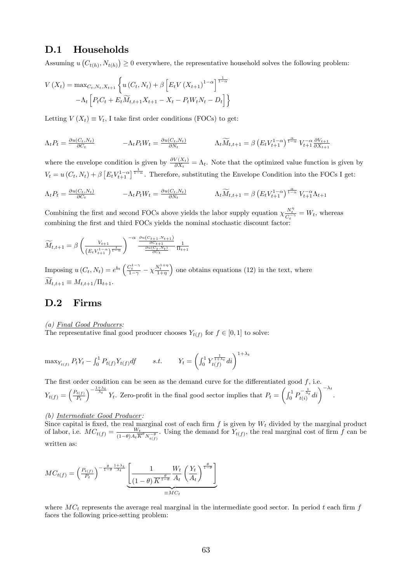#### D.1 Households

Assuming  $u(C_{t(h)}, N_{t(h)}) \geq 0$  everywhere, the representative household solves the following problem:

$$
V(X_t) = \max_{C_t, N_t, X_{t+1}} \left\{ u(C_t, N_t) + \beta \left[ E_t V(X_{t+1})^{1-\alpha} \right]^{\frac{1}{1-\alpha}} -\Lambda_t \left[ P_t C_t + E_t \widetilde{M}_{t,t+1} X_{t+1} - X_t - P_t W_t N_t - D_t \right] \right\}
$$

Letting  $V(X_t) \equiv V_t$ , I take first order conditions (FOCs) to get:

$$
\Lambda_t P_t = \frac{\partial u(C_t, N_t)}{\partial C_t} \qquad -\Lambda_t P_t W_t = \frac{\partial u(C_t, N_t)}{\partial N_t} \qquad \Lambda_t \widetilde{M}_{t,t+1} = \beta \left( E_t V_{t+1}^{1-\alpha} \right)^{\frac{\alpha}{1-\alpha}} V_{t+1}^{-\alpha} \frac{\partial V_{t+1}}{\partial X_{t+1}}
$$

where the envelope condition is given by  $\frac{\partial V(X_t)}{\partial X_t} = \Lambda_t$ . Note that the optimized value function is given by  $V_t = u(C_t, N_t) + \beta \left[ E_t V_{t+1}^{1-\alpha} \right]^{1-\alpha}$ . Therefore, substituting the Envelope Condition into the FOCs I get:

$$
\Lambda_t P_t = \frac{\partial u(C_t, N_t)}{\partial C_t} \qquad -\Lambda_t P_t W_t = \frac{\partial u(C_t, N_t)}{\partial N_t} \qquad \Lambda_t \widetilde{M}_{t,t+1} = \beta \left( E_t V_{t+1}^{1-\alpha} \right)^{\frac{\alpha}{1-\alpha}} V_{t+1}^{-\alpha} \Lambda_{t+1}
$$

Combining the first and second FOCs above yields the labor supply equation  $\chi \frac{N_t^n}{C_t^{-\gamma}} = W_t$ , whereas combining the first and third FOCs yields the nominal stochastic discount factor:

$$
\widetilde{M}_{t,t+1} = \beta \left( \frac{V_{t+1}}{\left(E_t V_{t+1}^{1-\alpha}\right)^{\frac{1}{1-\alpha}}} \right)^{-\alpha} \frac{\frac{\partial u\left(C_{t+1}, N_{t+1}\right)}{\partial C_{t+1}}}{\frac{\partial u\left(C_{t}, N_{t}\right)}{\partial C_{t}}} \frac{1}{\Pi_{t+1}}
$$

Imposing  $u(C_t, N_t) = e^{b_t} \left( \frac{C_t^{1-\gamma}}{1-\gamma} - \chi \frac{N_t^{1+\eta}}{1+\eta} \right)$ ) one obtains equations  $(12)$  in the text, where  $\widetilde{M}_{t,t+1} \equiv M_{t,t+1}/\Pi_{t+1}.$ 

#### D.2 Firms

#### (a) Final Good Producers:

The representative final good producer chooses  $Y_{t(f)}$  for  $f \in [0, 1]$  to solve:

$$
\max_{Y_{t(f)}} P_t Y_t - \int_0^1 P_{t(f)} Y_{t(f)} df \qquad s.t. \qquad Y_t = \left( \int_0^1 Y_{t(f)}^{\frac{1}{1+\lambda_t}} dt \right)^{1+\lambda_t}
$$

The first order condition can be seen as the demand curve for the differentiated good  $f$ , i.e.  $Y_{t(f)} = \left(\frac{P_{t(f)}}{P_t}\right)$  $P_t$  $\int_{0}^{\frac{1+\lambda_t}{\lambda_t}} Y_t$ . Zero-profit in the final good sector implies that  $P_t =$  $\left(\int_0^1 P_{t(i)}^{-\frac{1}{\lambda_t}}di\right)^{-\lambda_t}.$ 

#### (b) Intermediate Good Producer:

Since capital is fixed, the real marginal cost of each firm f is given by  $W_t$  divided by the marginal product of labor, i.e.  $MC_{t(f)} = \frac{W_t}{(1-\theta)A_E}$  $\frac{W_t}{(1-\theta)A_t\overline{K}^{\theta}N_{t(f)}^{-\theta}}$ . Using the demand for  $Y_{t(f)}$ , the real marginal cost of firm f can be written as:

$$
MC_{t(f)} = \left(\frac{P_{t(f)}}{P_t}\right)^{-\frac{\theta}{1-\theta}\frac{1+\lambda_t}{\lambda_t}} \underbrace{\left[ \frac{1}{(1-\theta)\overline{K}^{\frac{\theta}{1-\theta}}}\frac{W_t}{A_t} \left( \frac{Y_t}{A_t} \right)^{\frac{\theta}{1-\theta}} \right]}_{\equiv MC_t}
$$

where  $MC_t$  represents the average real marginal in the intermediate good sector. In period t each firm f faces the following price-setting problem: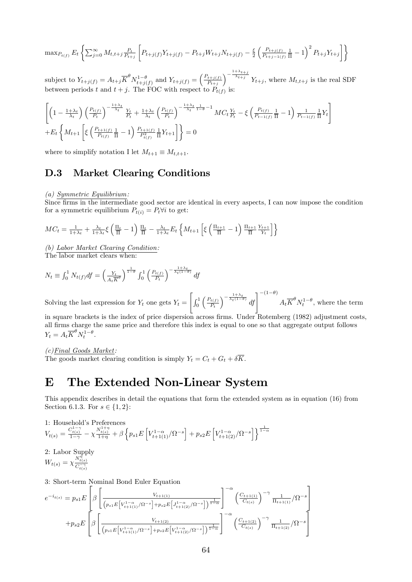$$
\max_{P_{t(f)}} E_t \left\{ \sum_{j=0}^{\infty} M_{t,t+j} \frac{P_t}{P_{t+j}} \left[ P_{t+j(f)} Y_{t+j(f)} - P_{t+j} W_{t+j} N_{t+j(f)} - \frac{\xi}{2} \left( \frac{P_{t+j(f)}}{P_{t+j-1(f)}} \frac{1}{\overline{\Pi}} - 1 \right)^2 P_{t+j} Y_{t+j} \right] \right\}
$$

subject to  $Y_{t+j(f)} = A_{t+j} \overline{K}^{\theta} N_{t+j(f)}^{1-\theta}$  and  $Y_{t+j(f)} = \left(\frac{P_{t+j(f)}}{P_{t+j}}\right)$  $P_{t+j}$  $\int_{t+j}^{-\frac{1+\lambda_{t+j}}{\lambda_{t+j}}} Y_{t+j}$ , where  $M_{t,t+j}$  is the real SDF between periods t and  $t + j$ . The FOC with respect to  $P_{t(f)}$  is:

$$
\left[ \left( 1 - \frac{1 + \lambda_t}{\lambda_t} \right) \left( \frac{P_{t(f)}}{P_t} \right)^{-\frac{1 + \lambda_t}{\lambda_t}} \frac{Y_t}{P_t} + \frac{1 + \lambda_t}{\lambda_t} \left( \frac{P_{t(f)}}{P_t} \right)^{-\frac{1 + \lambda_t}{\lambda_t} \frac{1}{1 - \theta} - 1} MC_t \frac{Y_t}{P_t} - \xi \left( \frac{P_{t(f)}}{P_{t-1(f)}} \frac{1}{\Pi} - 1 \right) \frac{1}{P_{t-1(f)}} \frac{1}{\Pi} Y_t \right] + E_t \left\{ M_{t+1} \left[ \xi \left( \frac{P_{t+1(f)}}{P_{t(f)}} \frac{1}{\Pi} - 1 \right) \frac{P_{t+1(f)}}{P_{t(f)}} \frac{1}{\Pi} Y_{t+1} \right] \right\} = 0
$$

where to simplify notation I let  $M_{t+1} \equiv M_{t,t+1}$ .

#### D.3 Market Clearing Conditions

(a) Symmetric Equilibrium:

Since Örms in the intermediate good sector are identical in every aspects, I can now impose the condition for a symmetric equilibrium  $P_{t(i)} = P_t \forall i$  to get:

$$
MC_t = \frac{1}{1+\lambda_t} + \frac{\lambda_t}{1+\lambda_t} \xi \left( \frac{\Pi_t}{\overline{\Pi}} - 1 \right) \frac{\Pi_t}{\overline{\Pi}} - \frac{\lambda_t}{1+\lambda_t} E_t \left\{ M_{t+1} \left[ \xi \left( \frac{\Pi_{t+1}}{\overline{\Pi}} - 1 \right) \frac{\Pi_{t+1}}{\overline{\Pi}} \frac{Y_{t+1}}{Y_t} \right] \right\}
$$

(b) Labor Market Clearing Condition: The labor market clears when:

$$
N_t \equiv \int_0^1 N_{t(f)} df = \left(\frac{Y_t}{A_t K^{\theta}}\right)^{\frac{1}{1-\theta}} \int_0^1 \left(\frac{P_{t(f)}}{P_t}\right)^{-\frac{1+\lambda t}{\lambda_t (1-\theta)}} df
$$

Solving the last expression for  $Y_t$  one gets  $Y_t =$  $\sqrt{ }$  $\int_0^1$  $\int P_{t(f)}$  $P_t$  $\int_{0}^{-\frac{1+\lambda_t}{\lambda_t(1-\theta)}} df \Big]^{- (1-\theta)} A_t \overline{K}^{\theta} N_t^{1-\theta}$ , where the term

in square brackets is the index of price dispersion across firms. Under Rotemberg (1982) adjustment costs, all Örms charge the same price and therefore this index is equal to one so that aggregate output follows  $Y_t = A_t \overline{K}^{\theta} N_t^{1-\theta}.$ 

(c)Final Goods Market: The goods market clearing condition is simply  $Y_t = C_t + G_t + \delta \overline{K}$ .

## E The Extended Non-Linear System

This appendix describes in detail the equations that form the extended system as in equation (16) from Section 6.1.3. For  $s \in \{1, 2\}$ :

1: Household's Preferences  $V_{t(s)} = \frac{C_{t(s)}^{1-\gamma}}{1-\gamma} - \chi \frac{N_{t(s)}^{1+\eta}}{1+\eta} + \beta \left\{ p_{s1} E\left[V_{t+1(1)}^{1-\alpha} / \Omega^{-s} \right] + p_{s2} E\left[V_{t+1(2)}^{1-\alpha} / \Omega^{-s} \right] \right\}^{\frac{1}{1-\alpha}}$ 

2: Labor Supply

$$
W_{t(s)} = \chi \frac{N_{t(s)}^{\eta}}{C_{t(s)}^{-\gamma}}
$$

3: Short-term Nominal Bond Euler Equation

$$
e^{-i_{t(s)}} = p_{s1}E\left[\beta\left[\frac{V_{t+1(1)}}{(p_{s1}E[V_{t+1(1)}^{1-\alpha}/\Omega^{-s}]+p_{s2}E\left[J_{t+1(2)}^{1-\alpha}/\Omega^{-s}\right]\right)^{\frac{1}{1-\alpha}}}\right]^{-\alpha}\left(\frac{C_{t+1(1)}}{C_{t(s)}}\right)^{-\gamma}\frac{1}{\Pi_{t+1(1)}}/\Omega^{-s}\right]
$$

$$
+p_{s2}E\left[\beta\left[\frac{V_{t+1(2)}}{(p_{s1}E\left[V_{t+1(1)}^{1-\alpha}/\Omega^{-s}\right]+p_{s2}E\left[V_{t+1(2)}^{1-\alpha}/\Omega^{-s}\right]\right)^{\frac{1}{1-\alpha}}}\right]^{-\alpha}\left(\frac{C_{t+1(2)}}{C_{t(s)}}\right)^{-\gamma}\frac{1}{\Pi_{t+1(2)}}/\Omega^{-s}\right]
$$